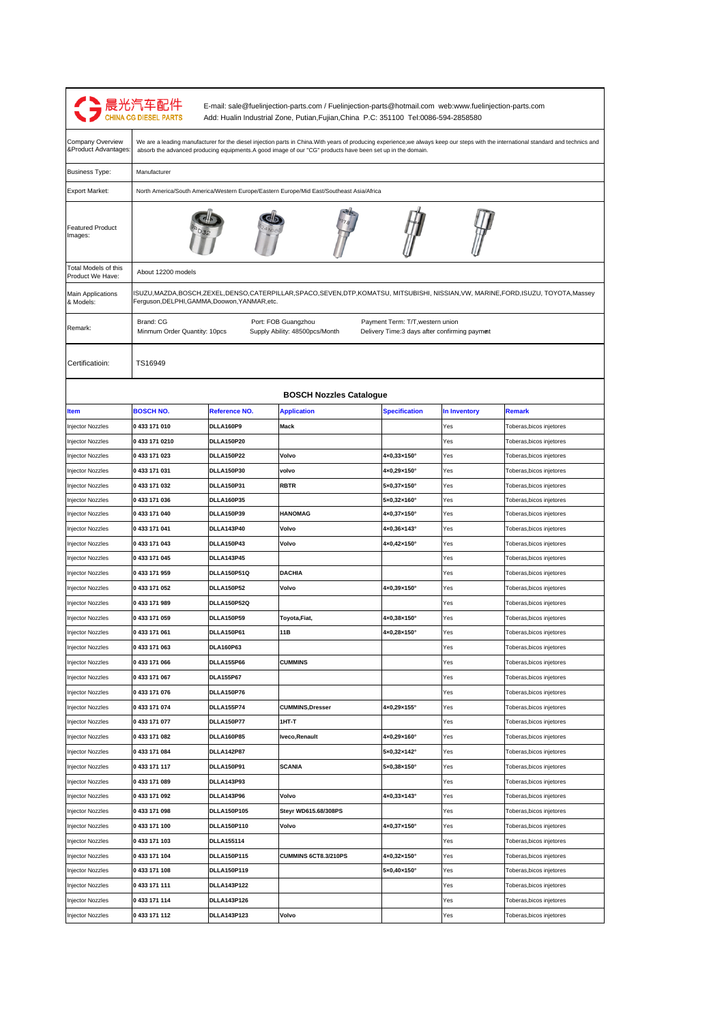| We are a leading manufacturer for the diesel injection parts in China. With years of producing experience, we always keep our steps with the international standard and technics and<br>∏ Advantages:<br>absorb the advanced producing equipments.A good image of our "CG" products have been set up in the domain.<br>Manufacturer<br><b>Business Type:</b><br>North America/South America/Western Europe/Eastern Europe/Mid East/Southeast Asia/Africa<br><b>Export Market:</b><br><b>Featured Product</b><br>Images:<br>Total Models of this<br>About 12200 models<br>Product We Have:<br>ISUZU,MAZDA,BOSCH,ZEXEL,DENSO,CATERPILLAR,SPACO,SEVEN,DTP,KOMATSU, MITSUBISHI, NISSIAN,VW, MARINE,FORD,ISUZU, TOYOTA,Massey<br><b>Main Applications</b><br>Ferguson, DELPHI, GAMMA, Doowon, YANMAR, etc.<br>& Models:<br>Brand: CG<br>Port: FOB Guangzhou<br>Payment Term: T/T, western union<br>Remark:<br>Supply Ability: 48500pcs/Month<br>Delivery Time:3 days after confirming paymet<br>Minmum Order Quantity: 10pcs<br>Certificatioin:<br>TS16949<br><b>BOSCH Nozzles Catalogue</b><br><b>BOSCH NO.</b><br>Reference NO.<br><b>Application</b><br><b>Specification</b><br>In Inventory<br><b>Remark</b><br><b>Item</b><br>0433171010<br>DLLA160P9<br>Mack<br>Injector Nozzles<br>Yes<br>Toberas, bicos injetores<br><b>DLLA150P20</b><br>Injector Nozzles<br>0 433 171 0210<br>Yes<br>Toberas, bicos injetores<br>Injector Nozzles<br>0 433 171 023<br><b>DLLA150P22</b><br>Volvo<br>$4 \times 0,33 \times 150$ °<br>Yes<br>Toberas, bicos injetores<br>0433171031<br><b>DLLA150P30</b><br>volvo<br>4×0,29×150°<br>Yes<br>Toberas, bicos injetores<br>Injector Nozzles<br><b>RBTR</b><br>Injector Nozzles<br>0433 171 032<br><b>DLLA150P31</b><br>5×0,37×150°<br>Yes<br>Toberas, bicos injetores<br>0433 171 036<br>DLLA160P35<br>5×0,32×160°<br>Yes<br>Toberas, bicos injetores<br>Injector Nozzles<br>0433 171 040<br><b>DLLA150P39</b><br><b>HANOMAG</b><br>Injector Nozzles<br>4×0,37×150°<br>Yes<br>Toberas, bicos injetores<br>DLLA143P40<br>Volvo<br>Injector Nozzles<br>0433171041<br>4×0,36×143°<br>Yes<br>Toberas, bicos injetores<br>Injector Nozzles<br>0 433 171 043<br>DLLA150P43<br>Volvo<br>4×0,42×150°<br>Yes<br>Toberas, bicos injetores<br>0 433 171 045<br><b>DLLA143P45</b><br>Yes<br>Toberas, bicos injetores<br>Injector Nozzles<br><b>DLLA150P51Q</b><br><b>DACHIA</b><br>Injector Nozzles<br>0433171959<br>Yes<br>Toberas, bicos injetores<br>Volvo<br>0 433 171 052<br><b>DLLA150P52</b><br>4×0,39×150°<br>Yes<br>Injector Nozzles<br>Toberas, bicos injetores<br>0433171989<br><b>DLLA150P52Q</b><br>Injector Nozzles<br>Yes<br>Toberas, bicos injetores<br>0 433 171 059<br><b>DLLA150P59</b><br>Toyota, Fiat,<br>4×0,38×150°<br>Injector Nozzles<br>Yes<br>Toberas, bicos injetores<br>DLLA150P61<br>11B<br><b>Injector Nozzles</b><br>0 433 171 061<br>4×0,28×150°<br>Yes<br>Toberas, bicos injetores<br>Injector Nozzles<br>0433 171 063<br>DLA160P63<br>Toberas, bicos injetores<br>Yes<br>Injector Nozzles<br>0433 171 066<br><b>DLLA155P66</b><br><b>CUMMINS</b><br>Toberas, bicos injetores<br>Yes<br>0 433 171 067<br><b>DLA155P67</b><br>Toberas, bicos injetores<br>Injector Nozzles<br>Yes<br>0433 171 076<br>DLLA150P76<br>Toberas, bicos injetores<br>Injector Nozzles<br>Yes<br>0 433 171 074<br><b>DLLA155P74</b><br><b>CUMMINS, Dresser</b><br>4×0,29×155°<br>Toberas, bicos injetores<br>Injector Nozzles<br>Yes<br>Injector Nozzles<br>0433 171 077<br>DLLA150P77<br>1HT-T<br>Yes<br>Toberas, bicos injetores<br>0433171082<br>DLLA160P85<br>Iveco, Renault<br>4×0,29×160°<br>Yes<br>Injector Nozzles<br>Toberas, bicos injetores<br>Injector Nozzles<br>0 433 171 084<br><b>DLLA142P87</b><br>5×0,32×142°<br>Yes<br>Toberas, bicos injetores<br><b>DLLA150P91</b><br><b>SCANIA</b><br>Injector Nozzles<br>0 433 171 117<br>$5\times0,38\times150^\circ$<br>Yes<br>Toberas, bicos injetores<br>0433171089<br><b>DLLA143P93</b><br>Injector Nozzles<br>Yes<br>Toberas, bicos injetores<br>0 433 171 092<br>DLLA143P96<br>Volvo<br>4×0,33×143°<br>njector Nozzles<br>Yes<br>Toberas, bicos injetores<br>Injector Nozzles<br>0433 171 098<br>DLLA150P105<br>Steyr WD615.68/308PS<br>Toberas, bicos injetores<br>Yes<br>Injector Nozzles<br>0433171100<br>DLLA150P110<br>Volvo<br>4×0,37×150°<br>Yes<br>Toberas, bicos injetores<br>Injector Nozzles<br>0433171103<br><b>DLLA155114</b><br>Yes<br>Toberas, bicos injetores<br>0 433 171 104<br>DLLA150P115<br>CUMMINS 6CT8.3/210PS<br>4×0,32×150°<br>Injector Nozzles<br>Yes<br>Toberas, bicos injetores<br>0 433 171 108<br>DLLA150P119<br>5×0,40×150°<br>Injector Nozzles<br>Yes<br>Toberas,bicos injetores<br><b>DLLA143P122</b><br>Injector Nozzles<br>0 433 171 111<br>Yes<br>Toberas,bicos injetores<br>Injector Nozzles<br>0 433 171 114<br><b>DLLA143P126</b><br>Toberas, bicos injetores<br>Yes | Company Overview |  |  |  |
|--------------------------------------------------------------------------------------------------------------------------------------------------------------------------------------------------------------------------------------------------------------------------------------------------------------------------------------------------------------------------------------------------------------------------------------------------------------------------------------------------------------------------------------------------------------------------------------------------------------------------------------------------------------------------------------------------------------------------------------------------------------------------------------------------------------------------------------------------------------------------------------------------------------------------------------------------------------------------------------------------------------------------------------------------------------------------------------------------------------------------------------------------------------------------------------------------------------------------------------------------------------------------------------------------------------------------------------------------------------------------------------------------------------------------------------------------------------------------------------------------------------------------------------------------------------------------------------------------------------------------------------------------------------------------------------------------------------------------------------------------------------------------------------------------------------------------------------------------------------------------------------------------------------------------------------------------------------------------------------------------------------------------------------------------------------------------------------------------------------------------------------------------------------------------------------------------------------------------------------------------------------------------------------------------------------------------------------------------------------------------------------------------------------------------------------------------------------------------------------------------------------------------------------------------------------------------------------------------------------------------------------------------------------------------------------------------------------------------------------------------------------------------------------------------------------------------------------------------------------------------------------------------------------------------------------------------------------------------------------------------------------------------------------------------------------------------------------------------------------------------------------------------------------------------------------------------------------------------------------------------------------------------------------------------------------------------------------------------------------------------------------------------------------------------------------------------------------------------------------------------------------------------------------------------------------------------------------------------------------------------------------------------------------------------------------------------------------------------------------------------------------------------------------------------------------------------------------------------------------------------------------------------------------------------------------------------------------------------------------------------------------------------------------------------------------------------------------------------------------------------------------------------------------------------------------------------------------------------------------------------------------------------------------------------------------------------------------------------------------------------------------------------------------------------------------------------------------------------------------------------------------------------------------------------------------------------------------------------------------------------------------------------------------------------------------------------------------------------------------------------------------------------------------------------------------------------------------------------------------------------------------------------------|------------------|--|--|--|
|                                                                                                                                                                                                                                                                                                                                                                                                                                                                                                                                                                                                                                                                                                                                                                                                                                                                                                                                                                                                                                                                                                                                                                                                                                                                                                                                                                                                                                                                                                                                                                                                                                                                                                                                                                                                                                                                                                                                                                                                                                                                                                                                                                                                                                                                                                                                                                                                                                                                                                                                                                                                                                                                                                                                                                                                                                                                                                                                                                                                                                                                                                                                                                                                                                                                                                                                                                                                                                                                                                                                                                                                                                                                                                                                                                                                                                                                                                                                                                                                                                                                                                                                                                                                                                                                                                                                                                                                                                                                                                                                                                                                                                                                                                                                                                                                                                                                                                        |                  |  |  |  |
|                                                                                                                                                                                                                                                                                                                                                                                                                                                                                                                                                                                                                                                                                                                                                                                                                                                                                                                                                                                                                                                                                                                                                                                                                                                                                                                                                                                                                                                                                                                                                                                                                                                                                                                                                                                                                                                                                                                                                                                                                                                                                                                                                                                                                                                                                                                                                                                                                                                                                                                                                                                                                                                                                                                                                                                                                                                                                                                                                                                                                                                                                                                                                                                                                                                                                                                                                                                                                                                                                                                                                                                                                                                                                                                                                                                                                                                                                                                                                                                                                                                                                                                                                                                                                                                                                                                                                                                                                                                                                                                                                                                                                                                                                                                                                                                                                                                                                                        |                  |  |  |  |
|                                                                                                                                                                                                                                                                                                                                                                                                                                                                                                                                                                                                                                                                                                                                                                                                                                                                                                                                                                                                                                                                                                                                                                                                                                                                                                                                                                                                                                                                                                                                                                                                                                                                                                                                                                                                                                                                                                                                                                                                                                                                                                                                                                                                                                                                                                                                                                                                                                                                                                                                                                                                                                                                                                                                                                                                                                                                                                                                                                                                                                                                                                                                                                                                                                                                                                                                                                                                                                                                                                                                                                                                                                                                                                                                                                                                                                                                                                                                                                                                                                                                                                                                                                                                                                                                                                                                                                                                                                                                                                                                                                                                                                                                                                                                                                                                                                                                                                        |                  |  |  |  |
|                                                                                                                                                                                                                                                                                                                                                                                                                                                                                                                                                                                                                                                                                                                                                                                                                                                                                                                                                                                                                                                                                                                                                                                                                                                                                                                                                                                                                                                                                                                                                                                                                                                                                                                                                                                                                                                                                                                                                                                                                                                                                                                                                                                                                                                                                                                                                                                                                                                                                                                                                                                                                                                                                                                                                                                                                                                                                                                                                                                                                                                                                                                                                                                                                                                                                                                                                                                                                                                                                                                                                                                                                                                                                                                                                                                                                                                                                                                                                                                                                                                                                                                                                                                                                                                                                                                                                                                                                                                                                                                                                                                                                                                                                                                                                                                                                                                                                                        |                  |  |  |  |
|                                                                                                                                                                                                                                                                                                                                                                                                                                                                                                                                                                                                                                                                                                                                                                                                                                                                                                                                                                                                                                                                                                                                                                                                                                                                                                                                                                                                                                                                                                                                                                                                                                                                                                                                                                                                                                                                                                                                                                                                                                                                                                                                                                                                                                                                                                                                                                                                                                                                                                                                                                                                                                                                                                                                                                                                                                                                                                                                                                                                                                                                                                                                                                                                                                                                                                                                                                                                                                                                                                                                                                                                                                                                                                                                                                                                                                                                                                                                                                                                                                                                                                                                                                                                                                                                                                                                                                                                                                                                                                                                                                                                                                                                                                                                                                                                                                                                                                        |                  |  |  |  |
|                                                                                                                                                                                                                                                                                                                                                                                                                                                                                                                                                                                                                                                                                                                                                                                                                                                                                                                                                                                                                                                                                                                                                                                                                                                                                                                                                                                                                                                                                                                                                                                                                                                                                                                                                                                                                                                                                                                                                                                                                                                                                                                                                                                                                                                                                                                                                                                                                                                                                                                                                                                                                                                                                                                                                                                                                                                                                                                                                                                                                                                                                                                                                                                                                                                                                                                                                                                                                                                                                                                                                                                                                                                                                                                                                                                                                                                                                                                                                                                                                                                                                                                                                                                                                                                                                                                                                                                                                                                                                                                                                                                                                                                                                                                                                                                                                                                                                                        |                  |  |  |  |
|                                                                                                                                                                                                                                                                                                                                                                                                                                                                                                                                                                                                                                                                                                                                                                                                                                                                                                                                                                                                                                                                                                                                                                                                                                                                                                                                                                                                                                                                                                                                                                                                                                                                                                                                                                                                                                                                                                                                                                                                                                                                                                                                                                                                                                                                                                                                                                                                                                                                                                                                                                                                                                                                                                                                                                                                                                                                                                                                                                                                                                                                                                                                                                                                                                                                                                                                                                                                                                                                                                                                                                                                                                                                                                                                                                                                                                                                                                                                                                                                                                                                                                                                                                                                                                                                                                                                                                                                                                                                                                                                                                                                                                                                                                                                                                                                                                                                                                        |                  |  |  |  |
|                                                                                                                                                                                                                                                                                                                                                                                                                                                                                                                                                                                                                                                                                                                                                                                                                                                                                                                                                                                                                                                                                                                                                                                                                                                                                                                                                                                                                                                                                                                                                                                                                                                                                                                                                                                                                                                                                                                                                                                                                                                                                                                                                                                                                                                                                                                                                                                                                                                                                                                                                                                                                                                                                                                                                                                                                                                                                                                                                                                                                                                                                                                                                                                                                                                                                                                                                                                                                                                                                                                                                                                                                                                                                                                                                                                                                                                                                                                                                                                                                                                                                                                                                                                                                                                                                                                                                                                                                                                                                                                                                                                                                                                                                                                                                                                                                                                                                                        |                  |  |  |  |
|                                                                                                                                                                                                                                                                                                                                                                                                                                                                                                                                                                                                                                                                                                                                                                                                                                                                                                                                                                                                                                                                                                                                                                                                                                                                                                                                                                                                                                                                                                                                                                                                                                                                                                                                                                                                                                                                                                                                                                                                                                                                                                                                                                                                                                                                                                                                                                                                                                                                                                                                                                                                                                                                                                                                                                                                                                                                                                                                                                                                                                                                                                                                                                                                                                                                                                                                                                                                                                                                                                                                                                                                                                                                                                                                                                                                                                                                                                                                                                                                                                                                                                                                                                                                                                                                                                                                                                                                                                                                                                                                                                                                                                                                                                                                                                                                                                                                                                        |                  |  |  |  |
|                                                                                                                                                                                                                                                                                                                                                                                                                                                                                                                                                                                                                                                                                                                                                                                                                                                                                                                                                                                                                                                                                                                                                                                                                                                                                                                                                                                                                                                                                                                                                                                                                                                                                                                                                                                                                                                                                                                                                                                                                                                                                                                                                                                                                                                                                                                                                                                                                                                                                                                                                                                                                                                                                                                                                                                                                                                                                                                                                                                                                                                                                                                                                                                                                                                                                                                                                                                                                                                                                                                                                                                                                                                                                                                                                                                                                                                                                                                                                                                                                                                                                                                                                                                                                                                                                                                                                                                                                                                                                                                                                                                                                                                                                                                                                                                                                                                                                                        |                  |  |  |  |
|                                                                                                                                                                                                                                                                                                                                                                                                                                                                                                                                                                                                                                                                                                                                                                                                                                                                                                                                                                                                                                                                                                                                                                                                                                                                                                                                                                                                                                                                                                                                                                                                                                                                                                                                                                                                                                                                                                                                                                                                                                                                                                                                                                                                                                                                                                                                                                                                                                                                                                                                                                                                                                                                                                                                                                                                                                                                                                                                                                                                                                                                                                                                                                                                                                                                                                                                                                                                                                                                                                                                                                                                                                                                                                                                                                                                                                                                                                                                                                                                                                                                                                                                                                                                                                                                                                                                                                                                                                                                                                                                                                                                                                                                                                                                                                                                                                                                                                        |                  |  |  |  |
|                                                                                                                                                                                                                                                                                                                                                                                                                                                                                                                                                                                                                                                                                                                                                                                                                                                                                                                                                                                                                                                                                                                                                                                                                                                                                                                                                                                                                                                                                                                                                                                                                                                                                                                                                                                                                                                                                                                                                                                                                                                                                                                                                                                                                                                                                                                                                                                                                                                                                                                                                                                                                                                                                                                                                                                                                                                                                                                                                                                                                                                                                                                                                                                                                                                                                                                                                                                                                                                                                                                                                                                                                                                                                                                                                                                                                                                                                                                                                                                                                                                                                                                                                                                                                                                                                                                                                                                                                                                                                                                                                                                                                                                                                                                                                                                                                                                                                                        |                  |  |  |  |
|                                                                                                                                                                                                                                                                                                                                                                                                                                                                                                                                                                                                                                                                                                                                                                                                                                                                                                                                                                                                                                                                                                                                                                                                                                                                                                                                                                                                                                                                                                                                                                                                                                                                                                                                                                                                                                                                                                                                                                                                                                                                                                                                                                                                                                                                                                                                                                                                                                                                                                                                                                                                                                                                                                                                                                                                                                                                                                                                                                                                                                                                                                                                                                                                                                                                                                                                                                                                                                                                                                                                                                                                                                                                                                                                                                                                                                                                                                                                                                                                                                                                                                                                                                                                                                                                                                                                                                                                                                                                                                                                                                                                                                                                                                                                                                                                                                                                                                        |                  |  |  |  |
|                                                                                                                                                                                                                                                                                                                                                                                                                                                                                                                                                                                                                                                                                                                                                                                                                                                                                                                                                                                                                                                                                                                                                                                                                                                                                                                                                                                                                                                                                                                                                                                                                                                                                                                                                                                                                                                                                                                                                                                                                                                                                                                                                                                                                                                                                                                                                                                                                                                                                                                                                                                                                                                                                                                                                                                                                                                                                                                                                                                                                                                                                                                                                                                                                                                                                                                                                                                                                                                                                                                                                                                                                                                                                                                                                                                                                                                                                                                                                                                                                                                                                                                                                                                                                                                                                                                                                                                                                                                                                                                                                                                                                                                                                                                                                                                                                                                                                                        |                  |  |  |  |
|                                                                                                                                                                                                                                                                                                                                                                                                                                                                                                                                                                                                                                                                                                                                                                                                                                                                                                                                                                                                                                                                                                                                                                                                                                                                                                                                                                                                                                                                                                                                                                                                                                                                                                                                                                                                                                                                                                                                                                                                                                                                                                                                                                                                                                                                                                                                                                                                                                                                                                                                                                                                                                                                                                                                                                                                                                                                                                                                                                                                                                                                                                                                                                                                                                                                                                                                                                                                                                                                                                                                                                                                                                                                                                                                                                                                                                                                                                                                                                                                                                                                                                                                                                                                                                                                                                                                                                                                                                                                                                                                                                                                                                                                                                                                                                                                                                                                                                        |                  |  |  |  |
|                                                                                                                                                                                                                                                                                                                                                                                                                                                                                                                                                                                                                                                                                                                                                                                                                                                                                                                                                                                                                                                                                                                                                                                                                                                                                                                                                                                                                                                                                                                                                                                                                                                                                                                                                                                                                                                                                                                                                                                                                                                                                                                                                                                                                                                                                                                                                                                                                                                                                                                                                                                                                                                                                                                                                                                                                                                                                                                                                                                                                                                                                                                                                                                                                                                                                                                                                                                                                                                                                                                                                                                                                                                                                                                                                                                                                                                                                                                                                                                                                                                                                                                                                                                                                                                                                                                                                                                                                                                                                                                                                                                                                                                                                                                                                                                                                                                                                                        |                  |  |  |  |
|                                                                                                                                                                                                                                                                                                                                                                                                                                                                                                                                                                                                                                                                                                                                                                                                                                                                                                                                                                                                                                                                                                                                                                                                                                                                                                                                                                                                                                                                                                                                                                                                                                                                                                                                                                                                                                                                                                                                                                                                                                                                                                                                                                                                                                                                                                                                                                                                                                                                                                                                                                                                                                                                                                                                                                                                                                                                                                                                                                                                                                                                                                                                                                                                                                                                                                                                                                                                                                                                                                                                                                                                                                                                                                                                                                                                                                                                                                                                                                                                                                                                                                                                                                                                                                                                                                                                                                                                                                                                                                                                                                                                                                                                                                                                                                                                                                                                                                        |                  |  |  |  |
|                                                                                                                                                                                                                                                                                                                                                                                                                                                                                                                                                                                                                                                                                                                                                                                                                                                                                                                                                                                                                                                                                                                                                                                                                                                                                                                                                                                                                                                                                                                                                                                                                                                                                                                                                                                                                                                                                                                                                                                                                                                                                                                                                                                                                                                                                                                                                                                                                                                                                                                                                                                                                                                                                                                                                                                                                                                                                                                                                                                                                                                                                                                                                                                                                                                                                                                                                                                                                                                                                                                                                                                                                                                                                                                                                                                                                                                                                                                                                                                                                                                                                                                                                                                                                                                                                                                                                                                                                                                                                                                                                                                                                                                                                                                                                                                                                                                                                                        |                  |  |  |  |
|                                                                                                                                                                                                                                                                                                                                                                                                                                                                                                                                                                                                                                                                                                                                                                                                                                                                                                                                                                                                                                                                                                                                                                                                                                                                                                                                                                                                                                                                                                                                                                                                                                                                                                                                                                                                                                                                                                                                                                                                                                                                                                                                                                                                                                                                                                                                                                                                                                                                                                                                                                                                                                                                                                                                                                                                                                                                                                                                                                                                                                                                                                                                                                                                                                                                                                                                                                                                                                                                                                                                                                                                                                                                                                                                                                                                                                                                                                                                                                                                                                                                                                                                                                                                                                                                                                                                                                                                                                                                                                                                                                                                                                                                                                                                                                                                                                                                                                        |                  |  |  |  |
|                                                                                                                                                                                                                                                                                                                                                                                                                                                                                                                                                                                                                                                                                                                                                                                                                                                                                                                                                                                                                                                                                                                                                                                                                                                                                                                                                                                                                                                                                                                                                                                                                                                                                                                                                                                                                                                                                                                                                                                                                                                                                                                                                                                                                                                                                                                                                                                                                                                                                                                                                                                                                                                                                                                                                                                                                                                                                                                                                                                                                                                                                                                                                                                                                                                                                                                                                                                                                                                                                                                                                                                                                                                                                                                                                                                                                                                                                                                                                                                                                                                                                                                                                                                                                                                                                                                                                                                                                                                                                                                                                                                                                                                                                                                                                                                                                                                                                                        |                  |  |  |  |
|                                                                                                                                                                                                                                                                                                                                                                                                                                                                                                                                                                                                                                                                                                                                                                                                                                                                                                                                                                                                                                                                                                                                                                                                                                                                                                                                                                                                                                                                                                                                                                                                                                                                                                                                                                                                                                                                                                                                                                                                                                                                                                                                                                                                                                                                                                                                                                                                                                                                                                                                                                                                                                                                                                                                                                                                                                                                                                                                                                                                                                                                                                                                                                                                                                                                                                                                                                                                                                                                                                                                                                                                                                                                                                                                                                                                                                                                                                                                                                                                                                                                                                                                                                                                                                                                                                                                                                                                                                                                                                                                                                                                                                                                                                                                                                                                                                                                                                        |                  |  |  |  |
|                                                                                                                                                                                                                                                                                                                                                                                                                                                                                                                                                                                                                                                                                                                                                                                                                                                                                                                                                                                                                                                                                                                                                                                                                                                                                                                                                                                                                                                                                                                                                                                                                                                                                                                                                                                                                                                                                                                                                                                                                                                                                                                                                                                                                                                                                                                                                                                                                                                                                                                                                                                                                                                                                                                                                                                                                                                                                                                                                                                                                                                                                                                                                                                                                                                                                                                                                                                                                                                                                                                                                                                                                                                                                                                                                                                                                                                                                                                                                                                                                                                                                                                                                                                                                                                                                                                                                                                                                                                                                                                                                                                                                                                                                                                                                                                                                                                                                                        |                  |  |  |  |
|                                                                                                                                                                                                                                                                                                                                                                                                                                                                                                                                                                                                                                                                                                                                                                                                                                                                                                                                                                                                                                                                                                                                                                                                                                                                                                                                                                                                                                                                                                                                                                                                                                                                                                                                                                                                                                                                                                                                                                                                                                                                                                                                                                                                                                                                                                                                                                                                                                                                                                                                                                                                                                                                                                                                                                                                                                                                                                                                                                                                                                                                                                                                                                                                                                                                                                                                                                                                                                                                                                                                                                                                                                                                                                                                                                                                                                                                                                                                                                                                                                                                                                                                                                                                                                                                                                                                                                                                                                                                                                                                                                                                                                                                                                                                                                                                                                                                                                        |                  |  |  |  |
|                                                                                                                                                                                                                                                                                                                                                                                                                                                                                                                                                                                                                                                                                                                                                                                                                                                                                                                                                                                                                                                                                                                                                                                                                                                                                                                                                                                                                                                                                                                                                                                                                                                                                                                                                                                                                                                                                                                                                                                                                                                                                                                                                                                                                                                                                                                                                                                                                                                                                                                                                                                                                                                                                                                                                                                                                                                                                                                                                                                                                                                                                                                                                                                                                                                                                                                                                                                                                                                                                                                                                                                                                                                                                                                                                                                                                                                                                                                                                                                                                                                                                                                                                                                                                                                                                                                                                                                                                                                                                                                                                                                                                                                                                                                                                                                                                                                                                                        |                  |  |  |  |
|                                                                                                                                                                                                                                                                                                                                                                                                                                                                                                                                                                                                                                                                                                                                                                                                                                                                                                                                                                                                                                                                                                                                                                                                                                                                                                                                                                                                                                                                                                                                                                                                                                                                                                                                                                                                                                                                                                                                                                                                                                                                                                                                                                                                                                                                                                                                                                                                                                                                                                                                                                                                                                                                                                                                                                                                                                                                                                                                                                                                                                                                                                                                                                                                                                                                                                                                                                                                                                                                                                                                                                                                                                                                                                                                                                                                                                                                                                                                                                                                                                                                                                                                                                                                                                                                                                                                                                                                                                                                                                                                                                                                                                                                                                                                                                                                                                                                                                        |                  |  |  |  |
|                                                                                                                                                                                                                                                                                                                                                                                                                                                                                                                                                                                                                                                                                                                                                                                                                                                                                                                                                                                                                                                                                                                                                                                                                                                                                                                                                                                                                                                                                                                                                                                                                                                                                                                                                                                                                                                                                                                                                                                                                                                                                                                                                                                                                                                                                                                                                                                                                                                                                                                                                                                                                                                                                                                                                                                                                                                                                                                                                                                                                                                                                                                                                                                                                                                                                                                                                                                                                                                                                                                                                                                                                                                                                                                                                                                                                                                                                                                                                                                                                                                                                                                                                                                                                                                                                                                                                                                                                                                                                                                                                                                                                                                                                                                                                                                                                                                                                                        |                  |  |  |  |
|                                                                                                                                                                                                                                                                                                                                                                                                                                                                                                                                                                                                                                                                                                                                                                                                                                                                                                                                                                                                                                                                                                                                                                                                                                                                                                                                                                                                                                                                                                                                                                                                                                                                                                                                                                                                                                                                                                                                                                                                                                                                                                                                                                                                                                                                                                                                                                                                                                                                                                                                                                                                                                                                                                                                                                                                                                                                                                                                                                                                                                                                                                                                                                                                                                                                                                                                                                                                                                                                                                                                                                                                                                                                                                                                                                                                                                                                                                                                                                                                                                                                                                                                                                                                                                                                                                                                                                                                                                                                                                                                                                                                                                                                                                                                                                                                                                                                                                        |                  |  |  |  |
|                                                                                                                                                                                                                                                                                                                                                                                                                                                                                                                                                                                                                                                                                                                                                                                                                                                                                                                                                                                                                                                                                                                                                                                                                                                                                                                                                                                                                                                                                                                                                                                                                                                                                                                                                                                                                                                                                                                                                                                                                                                                                                                                                                                                                                                                                                                                                                                                                                                                                                                                                                                                                                                                                                                                                                                                                                                                                                                                                                                                                                                                                                                                                                                                                                                                                                                                                                                                                                                                                                                                                                                                                                                                                                                                                                                                                                                                                                                                                                                                                                                                                                                                                                                                                                                                                                                                                                                                                                                                                                                                                                                                                                                                                                                                                                                                                                                                                                        |                  |  |  |  |
|                                                                                                                                                                                                                                                                                                                                                                                                                                                                                                                                                                                                                                                                                                                                                                                                                                                                                                                                                                                                                                                                                                                                                                                                                                                                                                                                                                                                                                                                                                                                                                                                                                                                                                                                                                                                                                                                                                                                                                                                                                                                                                                                                                                                                                                                                                                                                                                                                                                                                                                                                                                                                                                                                                                                                                                                                                                                                                                                                                                                                                                                                                                                                                                                                                                                                                                                                                                                                                                                                                                                                                                                                                                                                                                                                                                                                                                                                                                                                                                                                                                                                                                                                                                                                                                                                                                                                                                                                                                                                                                                                                                                                                                                                                                                                                                                                                                                                                        |                  |  |  |  |
|                                                                                                                                                                                                                                                                                                                                                                                                                                                                                                                                                                                                                                                                                                                                                                                                                                                                                                                                                                                                                                                                                                                                                                                                                                                                                                                                                                                                                                                                                                                                                                                                                                                                                                                                                                                                                                                                                                                                                                                                                                                                                                                                                                                                                                                                                                                                                                                                                                                                                                                                                                                                                                                                                                                                                                                                                                                                                                                                                                                                                                                                                                                                                                                                                                                                                                                                                                                                                                                                                                                                                                                                                                                                                                                                                                                                                                                                                                                                                                                                                                                                                                                                                                                                                                                                                                                                                                                                                                                                                                                                                                                                                                                                                                                                                                                                                                                                                                        |                  |  |  |  |
|                                                                                                                                                                                                                                                                                                                                                                                                                                                                                                                                                                                                                                                                                                                                                                                                                                                                                                                                                                                                                                                                                                                                                                                                                                                                                                                                                                                                                                                                                                                                                                                                                                                                                                                                                                                                                                                                                                                                                                                                                                                                                                                                                                                                                                                                                                                                                                                                                                                                                                                                                                                                                                                                                                                                                                                                                                                                                                                                                                                                                                                                                                                                                                                                                                                                                                                                                                                                                                                                                                                                                                                                                                                                                                                                                                                                                                                                                                                                                                                                                                                                                                                                                                                                                                                                                                                                                                                                                                                                                                                                                                                                                                                                                                                                                                                                                                                                                                        |                  |  |  |  |
|                                                                                                                                                                                                                                                                                                                                                                                                                                                                                                                                                                                                                                                                                                                                                                                                                                                                                                                                                                                                                                                                                                                                                                                                                                                                                                                                                                                                                                                                                                                                                                                                                                                                                                                                                                                                                                                                                                                                                                                                                                                                                                                                                                                                                                                                                                                                                                                                                                                                                                                                                                                                                                                                                                                                                                                                                                                                                                                                                                                                                                                                                                                                                                                                                                                                                                                                                                                                                                                                                                                                                                                                                                                                                                                                                                                                                                                                                                                                                                                                                                                                                                                                                                                                                                                                                                                                                                                                                                                                                                                                                                                                                                                                                                                                                                                                                                                                                                        |                  |  |  |  |
|                                                                                                                                                                                                                                                                                                                                                                                                                                                                                                                                                                                                                                                                                                                                                                                                                                                                                                                                                                                                                                                                                                                                                                                                                                                                                                                                                                                                                                                                                                                                                                                                                                                                                                                                                                                                                                                                                                                                                                                                                                                                                                                                                                                                                                                                                                                                                                                                                                                                                                                                                                                                                                                                                                                                                                                                                                                                                                                                                                                                                                                                                                                                                                                                                                                                                                                                                                                                                                                                                                                                                                                                                                                                                                                                                                                                                                                                                                                                                                                                                                                                                                                                                                                                                                                                                                                                                                                                                                                                                                                                                                                                                                                                                                                                                                                                                                                                                                        |                  |  |  |  |
|                                                                                                                                                                                                                                                                                                                                                                                                                                                                                                                                                                                                                                                                                                                                                                                                                                                                                                                                                                                                                                                                                                                                                                                                                                                                                                                                                                                                                                                                                                                                                                                                                                                                                                                                                                                                                                                                                                                                                                                                                                                                                                                                                                                                                                                                                                                                                                                                                                                                                                                                                                                                                                                                                                                                                                                                                                                                                                                                                                                                                                                                                                                                                                                                                                                                                                                                                                                                                                                                                                                                                                                                                                                                                                                                                                                                                                                                                                                                                                                                                                                                                                                                                                                                                                                                                                                                                                                                                                                                                                                                                                                                                                                                                                                                                                                                                                                                                                        |                  |  |  |  |
|                                                                                                                                                                                                                                                                                                                                                                                                                                                                                                                                                                                                                                                                                                                                                                                                                                                                                                                                                                                                                                                                                                                                                                                                                                                                                                                                                                                                                                                                                                                                                                                                                                                                                                                                                                                                                                                                                                                                                                                                                                                                                                                                                                                                                                                                                                                                                                                                                                                                                                                                                                                                                                                                                                                                                                                                                                                                                                                                                                                                                                                                                                                                                                                                                                                                                                                                                                                                                                                                                                                                                                                                                                                                                                                                                                                                                                                                                                                                                                                                                                                                                                                                                                                                                                                                                                                                                                                                                                                                                                                                                                                                                                                                                                                                                                                                                                                                                                        |                  |  |  |  |
|                                                                                                                                                                                                                                                                                                                                                                                                                                                                                                                                                                                                                                                                                                                                                                                                                                                                                                                                                                                                                                                                                                                                                                                                                                                                                                                                                                                                                                                                                                                                                                                                                                                                                                                                                                                                                                                                                                                                                                                                                                                                                                                                                                                                                                                                                                                                                                                                                                                                                                                                                                                                                                                                                                                                                                                                                                                                                                                                                                                                                                                                                                                                                                                                                                                                                                                                                                                                                                                                                                                                                                                                                                                                                                                                                                                                                                                                                                                                                                                                                                                                                                                                                                                                                                                                                                                                                                                                                                                                                                                                                                                                                                                                                                                                                                                                                                                                                                        |                  |  |  |  |
|                                                                                                                                                                                                                                                                                                                                                                                                                                                                                                                                                                                                                                                                                                                                                                                                                                                                                                                                                                                                                                                                                                                                                                                                                                                                                                                                                                                                                                                                                                                                                                                                                                                                                                                                                                                                                                                                                                                                                                                                                                                                                                                                                                                                                                                                                                                                                                                                                                                                                                                                                                                                                                                                                                                                                                                                                                                                                                                                                                                                                                                                                                                                                                                                                                                                                                                                                                                                                                                                                                                                                                                                                                                                                                                                                                                                                                                                                                                                                                                                                                                                                                                                                                                                                                                                                                                                                                                                                                                                                                                                                                                                                                                                                                                                                                                                                                                                                                        |                  |  |  |  |
|                                                                                                                                                                                                                                                                                                                                                                                                                                                                                                                                                                                                                                                                                                                                                                                                                                                                                                                                                                                                                                                                                                                                                                                                                                                                                                                                                                                                                                                                                                                                                                                                                                                                                                                                                                                                                                                                                                                                                                                                                                                                                                                                                                                                                                                                                                                                                                                                                                                                                                                                                                                                                                                                                                                                                                                                                                                                                                                                                                                                                                                                                                                                                                                                                                                                                                                                                                                                                                                                                                                                                                                                                                                                                                                                                                                                                                                                                                                                                                                                                                                                                                                                                                                                                                                                                                                                                                                                                                                                                                                                                                                                                                                                                                                                                                                                                                                                                                        |                  |  |  |  |
|                                                                                                                                                                                                                                                                                                                                                                                                                                                                                                                                                                                                                                                                                                                                                                                                                                                                                                                                                                                                                                                                                                                                                                                                                                                                                                                                                                                                                                                                                                                                                                                                                                                                                                                                                                                                                                                                                                                                                                                                                                                                                                                                                                                                                                                                                                                                                                                                                                                                                                                                                                                                                                                                                                                                                                                                                                                                                                                                                                                                                                                                                                                                                                                                                                                                                                                                                                                                                                                                                                                                                                                                                                                                                                                                                                                                                                                                                                                                                                                                                                                                                                                                                                                                                                                                                                                                                                                                                                                                                                                                                                                                                                                                                                                                                                                                                                                                                                        |                  |  |  |  |
|                                                                                                                                                                                                                                                                                                                                                                                                                                                                                                                                                                                                                                                                                                                                                                                                                                                                                                                                                                                                                                                                                                                                                                                                                                                                                                                                                                                                                                                                                                                                                                                                                                                                                                                                                                                                                                                                                                                                                                                                                                                                                                                                                                                                                                                                                                                                                                                                                                                                                                                                                                                                                                                                                                                                                                                                                                                                                                                                                                                                                                                                                                                                                                                                                                                                                                                                                                                                                                                                                                                                                                                                                                                                                                                                                                                                                                                                                                                                                                                                                                                                                                                                                                                                                                                                                                                                                                                                                                                                                                                                                                                                                                                                                                                                                                                                                                                                                                        |                  |  |  |  |
|                                                                                                                                                                                                                                                                                                                                                                                                                                                                                                                                                                                                                                                                                                                                                                                                                                                                                                                                                                                                                                                                                                                                                                                                                                                                                                                                                                                                                                                                                                                                                                                                                                                                                                                                                                                                                                                                                                                                                                                                                                                                                                                                                                                                                                                                                                                                                                                                                                                                                                                                                                                                                                                                                                                                                                                                                                                                                                                                                                                                                                                                                                                                                                                                                                                                                                                                                                                                                                                                                                                                                                                                                                                                                                                                                                                                                                                                                                                                                                                                                                                                                                                                                                                                                                                                                                                                                                                                                                                                                                                                                                                                                                                                                                                                                                                                                                                                                                        |                  |  |  |  |
|                                                                                                                                                                                                                                                                                                                                                                                                                                                                                                                                                                                                                                                                                                                                                                                                                                                                                                                                                                                                                                                                                                                                                                                                                                                                                                                                                                                                                                                                                                                                                                                                                                                                                                                                                                                                                                                                                                                                                                                                                                                                                                                                                                                                                                                                                                                                                                                                                                                                                                                                                                                                                                                                                                                                                                                                                                                                                                                                                                                                                                                                                                                                                                                                                                                                                                                                                                                                                                                                                                                                                                                                                                                                                                                                                                                                                                                                                                                                                                                                                                                                                                                                                                                                                                                                                                                                                                                                                                                                                                                                                                                                                                                                                                                                                                                                                                                                                                        |                  |  |  |  |
|                                                                                                                                                                                                                                                                                                                                                                                                                                                                                                                                                                                                                                                                                                                                                                                                                                                                                                                                                                                                                                                                                                                                                                                                                                                                                                                                                                                                                                                                                                                                                                                                                                                                                                                                                                                                                                                                                                                                                                                                                                                                                                                                                                                                                                                                                                                                                                                                                                                                                                                                                                                                                                                                                                                                                                                                                                                                                                                                                                                                                                                                                                                                                                                                                                                                                                                                                                                                                                                                                                                                                                                                                                                                                                                                                                                                                                                                                                                                                                                                                                                                                                                                                                                                                                                                                                                                                                                                                                                                                                                                                                                                                                                                                                                                                                                                                                                                                                        |                  |  |  |  |
| Injector Nozzles<br>0 433 171 112<br><b>DLLA143P123</b><br>Volvo<br>Toberas, bicos injetores<br>Yes                                                                                                                                                                                                                                                                                                                                                                                                                                                                                                                                                                                                                                                                                                                                                                                                                                                                                                                                                                                                                                                                                                                                                                                                                                                                                                                                                                                                                                                                                                                                                                                                                                                                                                                                                                                                                                                                                                                                                                                                                                                                                                                                                                                                                                                                                                                                                                                                                                                                                                                                                                                                                                                                                                                                                                                                                                                                                                                                                                                                                                                                                                                                                                                                                                                                                                                                                                                                                                                                                                                                                                                                                                                                                                                                                                                                                                                                                                                                                                                                                                                                                                                                                                                                                                                                                                                                                                                                                                                                                                                                                                                                                                                                                                                                                                                                    |                  |  |  |  |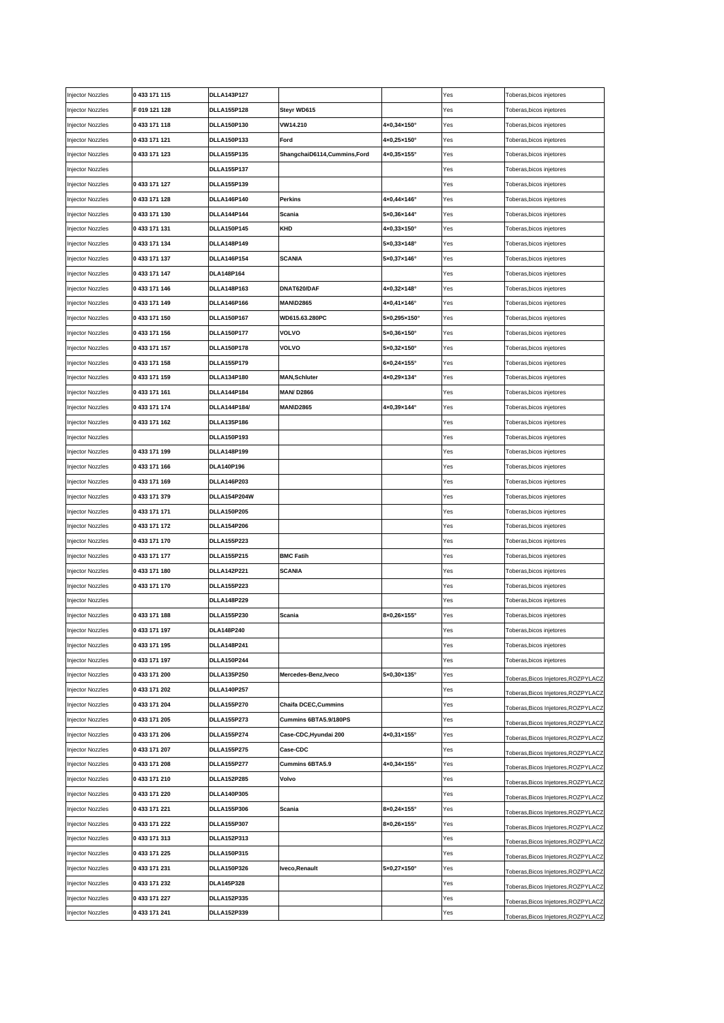| njector Nozzles | 0 433 171 115 | <b>DLLA143P127</b> |                               |                              | Yes | Toberas, bicos injetores            |
|-----------------|---------------|--------------------|-------------------------------|------------------------------|-----|-------------------------------------|
| njector Nozzles | F 019 121 128 | <b>DLLA155P128</b> | Steyr WD615                   |                              | Yes | Toberas,bicos injetores             |
| njector Nozzles | 0 433 171 118 | <b>DLLA150P130</b> | VW14.210                      | 4×0,34×150°                  | Yes | Toberas,bicos injetores             |
| njector Nozzles | 0 433 171 121 | DLLA150P133        | Ford                          | 4×0,25×150°                  | Yes | Toberas,bicos injetores             |
| njector Nozzles | 0 433 171 123 | <b>DLLA155P135</b> | ShangchaiD6114, Cummins, Ford | 4×0,35×155°                  | Yes | Toberas, bicos injetores            |
| njector Nozzles |               | <b>DLLA155P137</b> |                               |                              | Yes | Toberas,bicos injetores             |
| njector Nozzles | 0 433 171 127 | <b>DLLA155P139</b> |                               |                              | Yes | Toberas,bicos injetores             |
| njector Nozzles | 0 433 171 128 | DLLA146P140        | <b>Perkins</b>                | 4×0,44×146°                  | Yes | Toberas,bicos injetores             |
| njector Nozzles | 0433171130    | <b>DLLA144P144</b> | Scania                        | 5×0,36×144°                  | Yes | Toberas, bicos injetores            |
| njector Nozzles | 0 433 171 131 | DLLA150P145        | KHD                           | $4 \times 0,33 \times 150$ ° | Yes | Toberas, bicos injetores            |
| njector Nozzles | 0 433 171 134 | <b>DLLA148P149</b> |                               | $5\times0,33\times148^\circ$ | Yes | Toberas,bicos injetores             |
| njector Nozzles | 0 433 171 137 | <b>DLLA146P154</b> | <b>SCANIA</b>                 | 5×0,37×146°                  | Yes | Toberas,bicos injetores             |
| njector Nozzles | 0 433 171 147 | DLA148P164         |                               |                              | Yes | Toberas,bicos injetores             |
| njector Nozzles | 0 433 171 146 | <b>DLLA148P163</b> | DNAT620/DAF                   | 4×0,32×148°                  | Yes | Toberas,bicos injetores             |
| njector Nozzles | 0 433 171 149 | DLLA146P166        | <b>MAN\D2865</b>              | $4 \times 0,41 \times 146$ ° | Yes | Toberas,bicos injetores             |
| njector Nozzles | 0 433 171 150 | <b>DLLA150P167</b> | WD615.63.280PC                | 5×0,295×150°                 | Yes | Toberas,bicos injetores             |
| njector Nozzles | 0 433 171 156 | <b>DLLA150P177</b> | <b>VOLVO</b>                  | $5\times0,36\times150^\circ$ | Yes | Toberas,bicos injetores             |
| njector Nozzles | 0 433 171 157 | <b>DLLA150P178</b> | <b>VOLVO</b>                  | 5×0,32×150°                  | Yes | Toberas,bicos injetores             |
| njector Nozzles | 0433171158    | <b>DLLA155P179</b> |                               | 6×0,24×155°                  | Yes | Toberas,bicos injetores             |
| njector Nozzles | 0 433 171 159 | DLLA134P180        | <b>MAN, Schluter</b>          | 4×0,29×134°                  | Yes | Toberas,bicos injetores             |
| njector Nozzles | 0 433 171 161 | <b>DLLA144P184</b> | <b>MAN/D2866</b>              |                              | Yes | Toberas, bicos injetores            |
|                 | 0 433 171 174 | DLLA144P184/       | <b>MAN\D2865</b>              | 4×0,39×144°                  | Yes |                                     |
| njector Nozzles | 0433 171 162  |                    |                               |                              |     | Toberas, bicos injetores            |
| njector Nozzles |               | <b>DLLA135P186</b> |                               |                              | Yes | Toberas, bicos injetores            |
| njector Nozzles |               | DLLA150P193        |                               |                              | Yes | Toberas, bicos injetores            |
| njector Nozzles | 0433171199    | <b>DLLA148P199</b> |                               |                              | Yes | Toberas,bicos injetores             |
| njector Nozzles | 0433171166    | DLA140P196         |                               |                              | Yes | Toberas,bicos injetores             |
| njector Nozzles | 0433171169    | <b>DLLA146P203</b> |                               |                              | Yes | Toberas,bicos injetores             |
| njector Nozzles | 0 433 171 379 | DLLA154P204W       |                               |                              | Yes | Toberas,bicos injetores             |
| njector Nozzles | 0 433 171 171 | <b>DLLA150P205</b> |                               |                              | Yes | Toberas, bicos injetores            |
| njector Nozzles | 0 433 171 172 | <b>DLLA154P206</b> |                               |                              | Yes | Toberas,bicos injetores             |
| njector Nozzles | 0 433 171 170 | <b>DLLA155P223</b> |                               |                              | Yes | Toberas,bicos injetores             |
| njector Nozzles | 0 433 171 177 | <b>DLLA155P215</b> | <b>BMC Fatih</b>              |                              | Yes | Toberas,bicos injetores             |
| njector Nozzles | 0 433 171 180 | <b>DLLA142P221</b> | <b>SCANIA</b>                 |                              | Yes | Toberas,bicos injetores             |
| njector Nozzles | 0 433 171 170 | <b>DLLA155P223</b> |                               |                              | Yes | Toberas, bicos injetores            |
| njector Nozzles |               | <b>DLLA148P229</b> |                               |                              | Yes | Toberas, bicos injetores            |
| njector Nozzles | 0 433 171 188 | <b>DLLA155P230</b> | Scania                        | 8×0,26×155°                  | Yes | Toberas, bicos injetores            |
| njector Nozzles | 0 433 171 197 | DLA148P240         |                               |                              | Yes | Toberas, bicos injetores            |
| njector Nozzles | 0 433 171 195 | <b>DLLA148P241</b> |                               |                              | Yes | Toberas, bicos injetores            |
| njector Nozzles | 0 433 171 197 | <b>DLLA150P244</b> |                               |                              | Yes | Toberas, bicos injetores            |
| njector Nozzles | 0 433 171 200 | DLLA135P250        | Mercedes-Benz, Iveco          | 5×0,30×135°                  | Yes | Toberas, Bicos Injetores, ROZPYLACZ |
| njector Nozzles | 0 433 171 202 | <b>DLLA140P257</b> |                               |                              | Yes | Toberas, Bicos Injetores, ROZPYLACZ |
| njector Nozzles | 0 433 171 204 | <b>DLLA155P270</b> | <b>Chaifa DCEC, Cummins</b>   |                              | Yes | Toberas, Bicos Injetores, ROZPYLACZ |
| njector Nozzles | 0 433 171 205 | <b>DLLA155P273</b> | Cummins 6BTA5.9/180PS         |                              | Yes | Toberas, Bicos Injetores, ROZPYLACZ |
| njector Nozzles | 0 433 171 206 | <b>DLLA155P274</b> | Case-CDC,Hyundai 200          | 4×0,31×155°                  | Yes | Toberas, Bicos Injetores, ROZPYLACZ |
| njector Nozzles | 0 433 171 207 | <b>DLLA155P275</b> | Case-CDC                      |                              | Yes | Toberas, Bicos Injetores, ROZPYLACZ |
| njector Nozzles | 0 433 171 208 | <b>DLLA155P277</b> | <b>Cummins 6BTA5.9</b>        | 4×0,34×155°                  | Yes | Toberas, Bicos Injetores, ROZPYLACZ |
| njector Nozzles | 0433 171 210  | <b>DLLA152P285</b> | Volvo                         |                              | Yes | Toberas, Bicos Injetores, ROZPYLACZ |
| njector Nozzles | 0 433 171 220 | <b>DLLA140P305</b> |                               |                              | Yes | Toberas, Bicos Injetores, ROZPYLACZ |
| njector Nozzles | 0 433 171 221 | <b>DLLA155P306</b> | Scania                        | $8\times0,24\times155^\circ$ | Yes | Toberas, Bicos Injetores, ROZPYLACZ |
| njector Nozzles | 0 433 171 222 | <b>DLLA155P307</b> |                               | $8x0,26x155^\circ$           | Yes | Toberas, Bicos Injetores, ROZPYLACZ |
| njector Nozzles | 0 433 171 313 | DLLA152P313        |                               |                              | Yes | Toberas, Bicos Injetores, ROZPYLACZ |
| njector Nozzles | 0 433 171 225 | DLLA150P315        |                               |                              | Yes | Toberas, Bicos Injetores, ROZPYLACZ |
| njector Nozzles | 0 433 171 231 | <b>DLLA150P326</b> | Iveco, Renault                | 5×0,27×150°                  | Yes | Toberas, Bicos Injetores, ROZPYLACZ |
| njector Nozzles | 0 433 171 232 | DLA145P328         |                               |                              | Yes | Toberas, Bicos Injetores, ROZPYLACZ |
| njector Nozzles | 0 433 171 227 | <b>DLLA152P335</b> |                               |                              | Yes | Toberas, Bicos Injetores, ROZPYLACZ |
| njector Nozzles | 0 433 171 241 | <b>DLLA152P339</b> |                               |                              | Yes | Toberas, Bicos Injetores, ROZPYLACZ |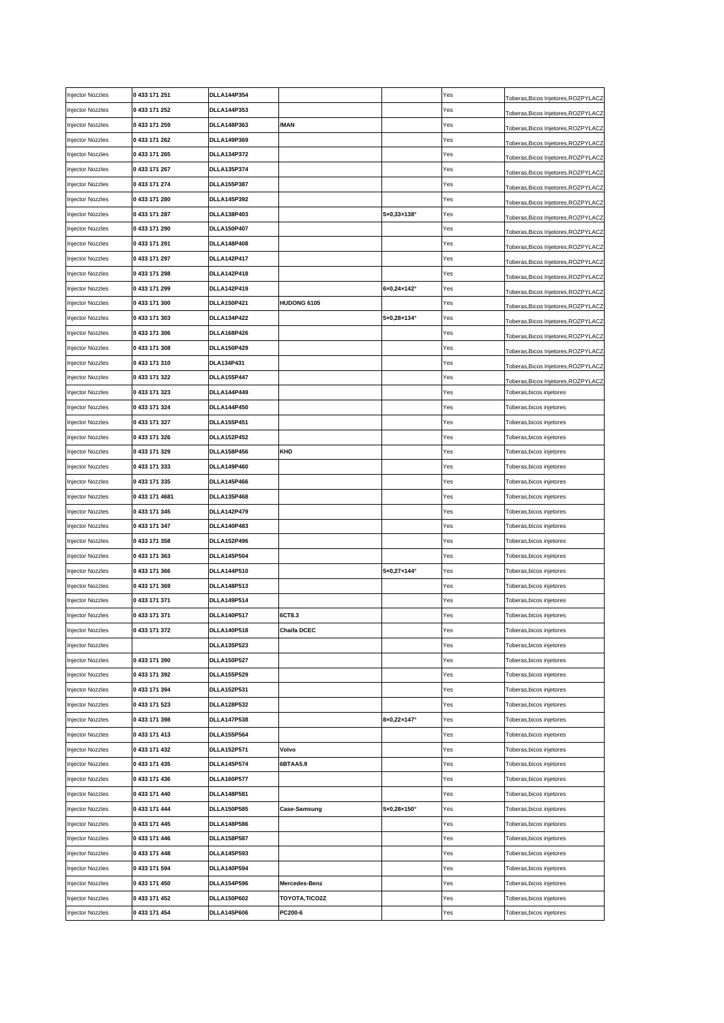| njector Nozzles  | 0 433 171 251  | <b>DLLA144P354</b> |                     |                              | Yes | Toberas, Bicos Injetores, ROZPYLACZ                          |
|------------------|----------------|--------------------|---------------------|------------------------------|-----|--------------------------------------------------------------|
| njector Nozzles  | 0 433 171 252  | <b>DLLA144P353</b> |                     |                              | Yes | Toberas, Bicos Injetores, ROZPYLACZ                          |
| Injector Nozzles | 0 433 171 259  | <b>DLLA148P363</b> | /MAN                |                              | Yes | Toberas,Bicos Injetores,ROZPYLACZ                            |
| njector Nozzles  | 0 433 171 262  | <b>DLLA149P369</b> |                     |                              | Yes | Toberas, Bicos Injetores, ROZPYLACZ                          |
| njector Nozzles  | 0 433 171 265  | <b>DLLA134P372</b> |                     |                              | Yes | Toberas, Bicos Injetores, ROZPYLACZ                          |
| njector Nozzles  | 0 433 171 267  | <b>DLLA135P374</b> |                     |                              | Yes | Toberas, Bicos Injetores, ROZPYLACZ                          |
| njector Nozzles  | 0 433 171 274  | <b>DLLA155P387</b> |                     |                              | Yes | Toberas, Bicos Injetores, ROZPYLACZ                          |
| njector Nozzles  | 0433171280     | <b>DLLA145P392</b> |                     |                              | Yes | Toberas,Bicos Injetores,ROZPYLACZ                            |
| njector Nozzles  | 0 433 171 287  | DLLA138P403        |                     | $5\times0,33\times138^\circ$ | Yes | Toberas,Bicos Injetores,ROZPYLACZ                            |
| njector Nozzles  | 0 433 171 290  | <b>DLLA150P407</b> |                     |                              | Yes | Toberas, Bicos Injetores, ROZPYLACZ                          |
| njector Nozzles  | 0 433 171 291  | <b>DLLA148P408</b> |                     |                              | Yes | Toberas, Bicos Injetores, ROZPYLACZ                          |
| njector Nozzles  | 0 433 171 297  | <b>DLLA142P417</b> |                     |                              | Yes | Toberas, Bicos Injetores, ROZPYLACZ                          |
| njector Nozzles  | 0 433 171 298  | <b>DLLA142P418</b> |                     |                              | Yes | Toberas,Bicos Injetores,ROZPYLACZ                            |
| njector Nozzles  | 0 433 171 299  | <b>DLLA142P419</b> |                     | $6x0,24x142^\circ$           | Yes |                                                              |
| njector Nozzles  | 0 433 171 300  | <b>DLLA150P421</b> | HUDONG 6105         |                              | Yes | Toberas,Bicos Injetores,ROZPYLACZ                            |
| njector Nozzles  | 0 433 171 303  | <b>DLLA134P422</b> |                     | 5×0,28×134°                  | Yes | Toberas,Bicos Injetores,ROZPYLACZ                            |
| njector Nozzles  | 0 433 171 306  | <b>DLLA168P426</b> |                     |                              | Yes | Toberas, Bicos Injetores, ROZPYLACZ                          |
| njector Nozzles  | 0 433 171 308  | <b>DLLA150P429</b> |                     |                              | Yes | Toberas, Bicos Injetores, ROZPYLACZ                          |
| njector Nozzles  | 0 433 171 310  | DLA134P431         |                     |                              | Yes | Toberas, Bicos Injetores, ROZPYLACZ                          |
| njector Nozzles  | 0 433 171 322  | <b>DLLA155P447</b> |                     |                              | Yes | Toberas, Bicos Injetores, ROZPYLACZ                          |
| njector Nozzles  | 0 433 171 323  | <b>DLLA144P449</b> |                     |                              | Yes | Toberas,Bicos Injetores,ROZPYLACZ<br>Toberas,bicos injetores |
|                  | 0 433 171 324  | <b>DLLA144P450</b> |                     |                              |     |                                                              |
| njector Nozzles  |                |                    |                     |                              | Yes | Toberas,bicos injetores                                      |
| njector Nozzles  | 0 433 171 327  | <b>DLLA155P451</b> |                     |                              | Yes | Toberas, bicos injetores                                     |
| njector Nozzles  | 0 433 171 326  | <b>DLLA152P452</b> |                     |                              | Yes | Toberas, bicos injetores                                     |
| Injector Nozzles | 0 433 171 329  | <b>DLLA158P456</b> | KHD                 |                              | Yes | Toberas,bicos injetores                                      |
| njector Nozzles  | 0433171333     | <b>DLLA149P460</b> |                     |                              | Yes | Toberas,bicos injetores                                      |
| njector Nozzles  | 0 433 171 335  | <b>DLLA145P466</b> |                     |                              | Yes | Toberas,bicos injetores                                      |
| njector Nozzles  | 0 433 171 4681 | <b>DLLA135P468</b> |                     |                              | Yes | Toberas,bicos injetores                                      |
| njector Nozzles  | 0 433 171 345  | <b>DLLA142P479</b> |                     |                              | Yes | Toberas, bicos injetores                                     |
| njector Nozzles  | 0 433 171 347  | <b>DLLA140P483</b> |                     |                              | Yes | Toberas, bicos injetores                                     |
| njector Nozzles  | 0 433 171 358  | <b>DLLA152P496</b> |                     |                              | Yes | Toberas, bicos injetores                                     |
| njector Nozzles  | 0 433 171 363  | <b>DLLA145P504</b> |                     |                              | Yes | Toberas,bicos injetores                                      |
| njector Nozzles  | 0 433 171 366  | <b>DLLA144P510</b> |                     | 5×0,27×144°                  | Yes | Toberas, bicos injetores                                     |
| njector Nozzles  | 0 433 171 369  | <b>DLLA148P513</b> |                     |                              | Yes | Toberas, bicos injetores                                     |
| njector Nozzles  | 0 433 171 371  | <b>DLLA149P514</b> |                     |                              | Yes | Toberas, bicos injetores                                     |
| njector Nozzles  | 0 433 171 371  | <b>DLLA140P517</b> | 6CT8.3              |                              | Yes | Toberas, bicos injetores                                     |
| Injector Nozzles | 0 433 171 372  | <b>DLLA140P518</b> | <b>Chaifa DCEC</b>  |                              | Yes | Toberas, bicos injetores                                     |
| njector Nozzles  |                | <b>DLLA135P523</b> |                     |                              | Yes | Toberas, bicos injetores                                     |
| njector Nozzles  | 0 433 171 390  | <b>DLLA150P527</b> |                     |                              | Yes | Toberas, bicos injetores                                     |
| njector Nozzles  | 0 433 171 392  | <b>DLLA155P529</b> |                     |                              | Yes | Toberas, bicos injetores                                     |
| njector Nozzles  | 0 433 171 394  | <b>DLLA152P531</b> |                     |                              | Yes | Toberas, bicos injetores                                     |
| njector Nozzles  | 0 433 171 523  | <b>DLLA128P532</b> |                     |                              | Yes | Toberas, bicos injetores                                     |
| njector Nozzles  | 0 433 171 398  | <b>DLLA147P538</b> |                     | 8×0,22×147°                  | Yes | Toberas, bicos injetores                                     |
| njector Nozzles  | 0 433 171 413  | <b>DLLA155P564</b> |                     |                              | Yes | Toberas, bicos injetores                                     |
| njector Nozzles  | 0 433 171 432  | <b>DLLA152P571</b> | Volvo               |                              | Yes | Toberas, bicos injetores                                     |
| njector Nozzles  | 0 433 171 435  | <b>DLLA145P574</b> | 6BTAA5.9            |                              | Yes | Toberas, bicos injetores                                     |
| njector Nozzles  | 0 433 171 436  | <b>DLLA160P577</b> |                     |                              | Yes | Toberas, bicos injetores                                     |
| njector Nozzles  | 0 433 171 440  | <b>DLLA148P581</b> |                     |                              | Yes | Toberas, bicos injetores                                     |
| njector Nozzles  | 0 433 171 444  | <b>DLLA150P585</b> | <b>Case-Samsung</b> | 5×0,28×150°                  | Yes | Toberas, bicos injetores                                     |
| njector Nozzles  | 0 433 171 445  | <b>DLLA148P586</b> |                     |                              | Yes | Toberas, bicos injetores                                     |
| njector Nozzles  | 0 433 171 446  | <b>DLLA158P587</b> |                     |                              | Yes | Toberas, bicos injetores                                     |
| njector Nozzles  | 0 433 171 448  | <b>DLLA145P593</b> |                     |                              | Yes | Toberas, bicos injetores                                     |
| njector Nozzles  | 0 433 171 594  | <b>DLLA140P594</b> |                     |                              | Yes | Toberas, bicos injetores                                     |
| njector Nozzles  | 0 433 171 450  | <b>DLLA154P596</b> | Mercedes-Benz       |                              | Yes | Toberas, bicos injetores                                     |
| njector Nozzles  | 0 433 171 452  | <b>DLLA150P602</b> | TOYOTA, TICO2Z      |                              | Yes | Toberas, bicos injetores                                     |
| njector Nozzles  | 0 433 171 454  | <b>DLLA145P606</b> | PC200-6             |                              | Yes | Toberas, bicos injetores                                     |
|                  |                |                    |                     |                              |     |                                                              |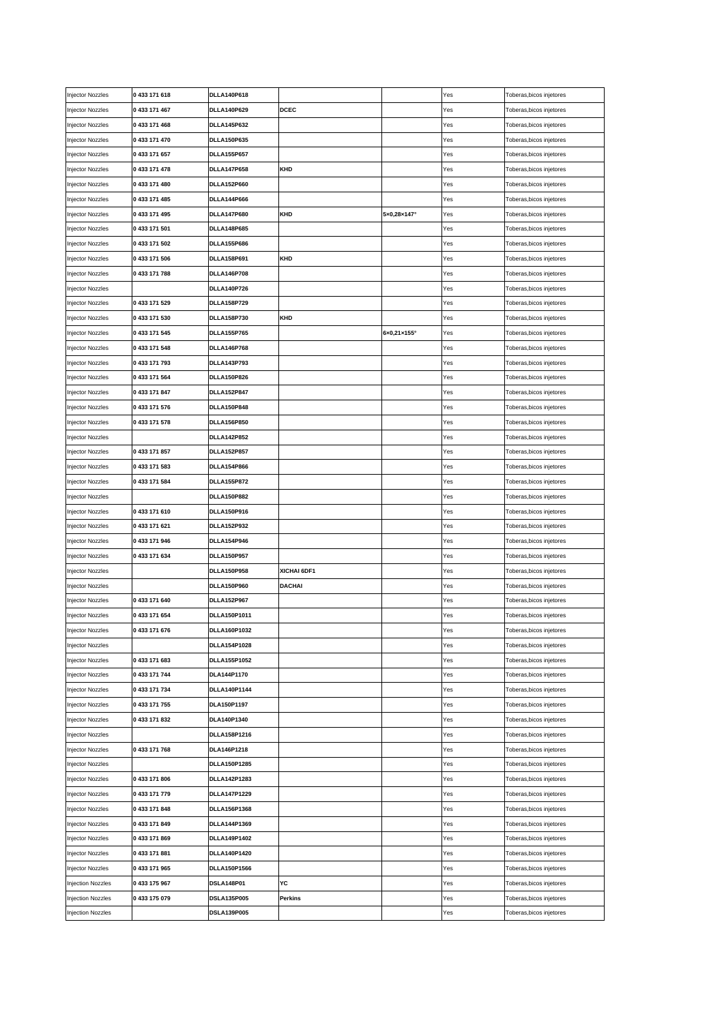| Injector Nozzles | 0 433 171 618 | <b>DLLA140P618</b>  |               |             | Yes | Toberas, bicos injetores |
|------------------|---------------|---------------------|---------------|-------------|-----|--------------------------|
| njector Nozzles  | 0 433 171 467 | <b>DLLA140P629</b>  | <b>DCEC</b>   |             | Yes | Toberas, bicos injetores |
| njector Nozzles  | 0 433 171 468 | <b>DLLA145P632</b>  |               |             | Yes | Toberas, bicos injetores |
| njector Nozzles  | 0 433 171 470 | <b>DLLA150P635</b>  |               |             | Yes | Toberas, bicos injetores |
| njector Nozzles  | 0 433 171 657 | <b>DLLA155P657</b>  |               |             | Yes | Toberas, bicos injetores |
| njector Nozzles  | 0 433 171 478 | <b>DLLA147P658</b>  | KHD           |             | Yes | Toberas, bicos injetores |
| njector Nozzles  | 0 433 171 480 | <b>DLLA152P660</b>  |               |             | Yes | Toberas, bicos injetores |
| njector Nozzles  | 0 433 171 485 | <b>DLLA144P666</b>  |               |             | Yes | Toberas,bicos injetores  |
| njector Nozzles  | 0 433 171 495 | <b>DLLA147P680</b>  | KHD           | 5×0,28×147° | Yes | Toberas, bicos injetores |
| njector Nozzles  | 0 433 171 501 | <b>DLLA148P685</b>  |               |             | Yes | Toberas,bicos injetores  |
| njector Nozzles  | 0 433 171 502 | <b>DLLA155P686</b>  |               |             | Yes | Toberas,bicos injetores  |
| njector Nozzles  | 0 433 171 506 | <b>DLLA158P691</b>  | KHD           |             | Yes | Toberas, bicos injetores |
| njector Nozzles  | 0 433 171 788 | <b>DLLA146P708</b>  |               |             | Yes | Toberas, bicos injetores |
| njector Nozzles  |               | <b>DLLA140P726</b>  |               |             | Yes | Toberas, bicos injetores |
| njector Nozzles  | 0 433 171 529 | <b>DLLA158P729</b>  |               |             | Yes | Toberas, bicos injetores |
| njector Nozzles  | 0 433 171 530 | DLLA158P730         | KHD           |             | Yes | Toberas, bicos injetores |
|                  |               |                     |               | 6×0,21×155° |     |                          |
| njector Nozzles  | 0 433 171 545 | <b>DLLA155P765</b>  |               |             | Yes | Toberas, bicos injetores |
| njector Nozzles  | 0 433 171 548 | <b>DLLA146P768</b>  |               |             | Yes | Toberas, bicos injetores |
| njector Nozzles  | 0433171793    | <b>DLLA143P793</b>  |               |             | Yes | Toberas, bicos injetores |
| njector Nozzles  | 0 433 171 564 | <b>DLLA150P826</b>  |               |             | Yes | Toberas, bicos injetores |
| njector Nozzles  | 0 433 171 847 | <b>DLLA152P847</b>  |               |             | Yes | Toberas, bicos injetores |
| njector Nozzles  | 0 433 171 576 | <b>DLLA150P848</b>  |               |             | Yes | Toberas, bicos injetores |
| njector Nozzles  | 0433171578    | <b>DLLA156P850</b>  |               |             | Yes | Toberas, bicos injetores |
| njector Nozzles  |               | <b>DLLA142P852</b>  |               |             | Yes | Toberas, bicos injetores |
| njector Nozzles  | 0 433 171 857 | <b>DLLA152P857</b>  |               |             | Yes | Toberas,bicos injetores  |
| njector Nozzles  | 0 433 171 583 | <b>DLLA154P866</b>  |               |             | Yes | Toberas,bicos injetores  |
| njector Nozzles  | 0 433 171 584 | <b>DLLA155P872</b>  |               |             | Yes | Toberas,bicos injetores  |
| njector Nozzles  |               | <b>DLLA150P882</b>  |               |             | Yes | Toberas, bicos injetores |
| njector Nozzles  | 0433171610    | DLLA150P916         |               |             | Yes | Toberas,bicos injetores  |
| njector Nozzles  | 0 433 171 621 | <b>DLLA152P932</b>  |               |             | Yes | Toberas,bicos injetores  |
| njector Nozzles  | 0 433 171 946 | <b>DLLA154P946</b>  |               |             | Yes | Toberas, bicos injetores |
| njector Nozzles  | 0 433 171 634 | <b>DLLA150P957</b>  |               |             | Yes | Toberas,bicos injetores  |
| njector Nozzles  |               | <b>DLLA150P958</b>  | XICHAI 6DF1   |             | Yes | Toberas,bicos injetores  |
| njector Nozzles  |               | <b>DLLA150P960</b>  | <b>DACHAI</b> |             | Yes | Toberas, bicos injetores |
| njector Nozzles  | 0 433 171 640 | <b>DLLA152P967</b>  |               |             | Yes | Toberas, bicos injetores |
| njector Nozzles  | 0 433 171 654 | DLLA150P1011        |               |             | Yes | Toberas, bicos injetores |
| njector Nozzles  | 0 433 171 676 | DLLA160P1032        |               |             | Yes | Toberas, bicos injetores |
| njector Nozzles  |               | DLLA154P1028        |               |             | Yes | Toberas, bicos injetores |
| njector Nozzles  | 0 433 171 683 | DLLA155P1052        |               |             | Yes | Toberas, bicos injetores |
| njector Nozzles  | 0 433 171 744 | DLA144P1170         |               |             | Yes | Toberas, bicos injetores |
| njector Nozzles  | 0 433 171 734 | DLLA140P1144        |               |             | Yes | Toberas, bicos injetores |
| njector Nozzles  | 0 433 171 755 | DLA150P1197         |               |             | Yes | Toberas, bicos injetores |
| njector Nozzles  | 0 433 171 832 | DLA140P1340         |               |             | Yes | Toberas, bicos injetores |
| njector Nozzles  |               | DLLA158P1216        |               |             | Yes | Toberas, bicos injetores |
| njector Nozzles  | 0 433 171 768 | DLA146P1218         |               |             | Yes | Toberas, bicos injetores |
| njector Nozzles  |               | DLLA150P1285        |               |             | Yes | Toberas, bicos injetores |
| njector Nozzles  | 0433 171 806  | DLLA142P1283        |               |             | Yes | Toberas, bicos injetores |
| njector Nozzles  | 0 433 171 779 | <b>DLLA147P1229</b> |               |             | Yes | Toberas, bicos injetores |
|                  | 0 433 171 848 | DLLA156P1368        |               |             | Yes |                          |
| njector Nozzles  |               |                     |               |             |     | Toberas, bicos injetores |
| njector Nozzles  | 0433171849    | <b>DLLA144P1369</b> |               |             | Yes | Toberas, bicos injetores |
| njector Nozzles  | 0433 171 869  | DLLA149P1402        |               |             | Yes | Toberas, bicos injetores |
| njector Nozzles  | 0 433 171 881 | DLLA140P1420        |               |             | Yes | Toberas, bicos injetores |
| njector Nozzles  | 0 433 171 965 | DLLA150P1566        |               |             | Yes | Toberas, bicos injetores |
| njection Nozzles | 0 433 175 967 | <b>DSLA148P01</b>   | YC            |             | Yes | Toberas, bicos injetores |
| njection Nozzles | 0 433 175 079 | <b>DSLA135P005</b>  | Perkins       |             | Yes | Toberas, bicos injetores |
| njection Nozzles |               | <b>DSLA139P005</b>  |               |             | Yes | Toberas, bicos injetores |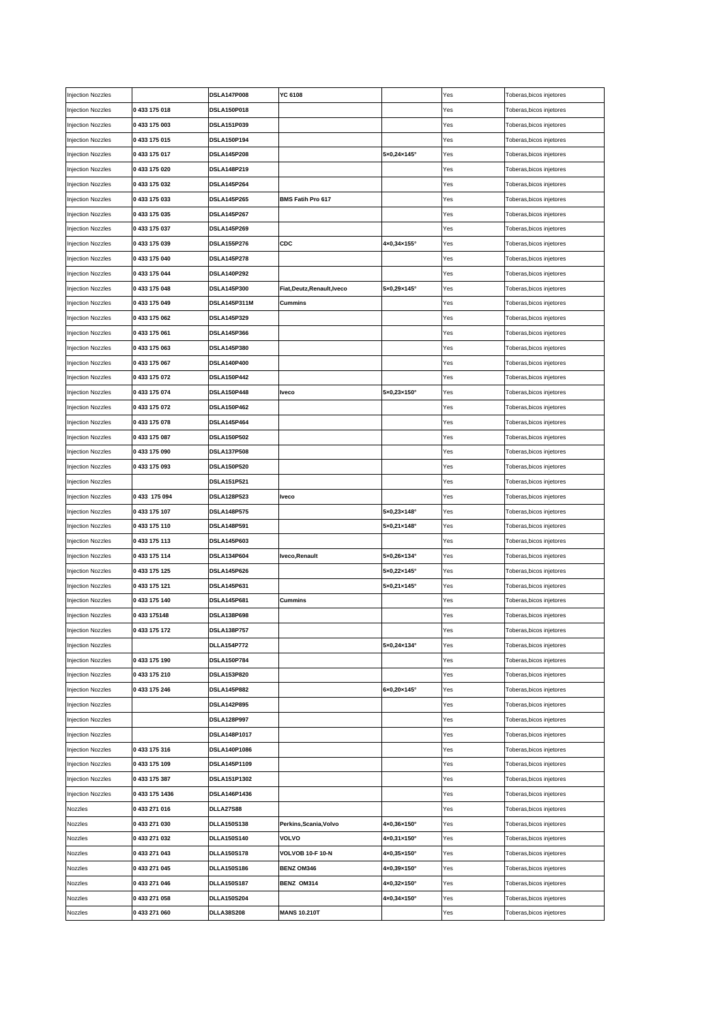| <b>Injection Nozzles</b> |                | <b>DSLA147P008</b>  | YC 6108                  |                              | Yes | Toberas, bicos injetores |
|--------------------------|----------------|---------------------|--------------------------|------------------------------|-----|--------------------------|
| <b>Injection Nozzles</b> | 0433175018     | <b>DSLA150P018</b>  |                          |                              | Yes | Toberas, bicos injetores |
| <b>Injection Nozzles</b> | 0433 175 003   | DSLA151P039         |                          |                              | Yes | Toberas,bicos injetores  |
| <b>Injection Nozzles</b> | 0433 175 015   | DSLA150P194         |                          |                              | Yes | Toberas,bicos injetores  |
| <b>Injection Nozzles</b> | 0433175017     | <b>DSLA145P208</b>  |                          | 5×0,24×145°                  | Yes | Toberas,bicos injetores  |
| Injection Nozzles        | 0433175020     | DSLA148P219         |                          |                              | Yes | Toberas, bicos injetores |
| Injection Nozzles        | 0433 175 032   | <b>DSLA145P264</b>  |                          |                              | Yes | Toberas,bicos injetores  |
| Injection Nozzles        | 0433175033     | <b>DSLA145P265</b>  | <b>BMS Fatih Pro 617</b> |                              | Yes | Toberas, bicos injetores |
| <b>Injection Nozzles</b> | 0 433 175 035  | <b>DSLA145P267</b>  |                          |                              | Yes | Toberas, bicos injetores |
| <b>Injection Nozzles</b> | 0433 175 037   | <b>DSLA145P269</b>  |                          |                              | Yes | Toberas, bicos injetores |
| <b>Injection Nozzles</b> | 0433 175 039   | <b>DSLA155P276</b>  | CDC                      | 4×0,34×155°                  | Yes | Toberas, bicos injetores |
| <b>Injection Nozzles</b> | 0433 175 040   | <b>DSLA145P278</b>  |                          |                              | Yes | Toberas, bicos injetores |
| <b>Injection Nozzles</b> | 0 433 175 044  | <b>DSLA140P292</b>  |                          |                              | Yes | Toberas,bicos injetores  |
| Injection Nozzles        | 0433175048     | DSLA145P300         | Fiat,Deutz,Renault,Iveco | 5×0,29×145°                  | Yes | Toberas, bicos injetores |
| <b>Injection Nozzles</b> | 0 433 175 049  | <b>DSLA145P311M</b> | Cummins                  |                              | Yes | Toberas, bicos injetores |
| Injection Nozzles        | 0433 175 062   | DSLA145P329         |                          |                              | Yes | Toberas, bicos injetores |
| <b>Injection Nozzles</b> | 0433 175 061   | DSLA145P366         |                          |                              | Yes | Toberas, bicos injetores |
| <b>Injection Nozzles</b> | 0433175063     | <b>DSLA145P380</b>  |                          |                              | Yes | Toberas,bicos injetores  |
| <b>Injection Nozzles</b> | 0433175067     | <b>DSLA140P400</b>  |                          |                              | Yes | Toberas,bicos injetores  |
| Injection Nozzles        | 0433175072     | <b>DSLA150P442</b>  |                          |                              | Yes | Toberas,bicos injetores  |
| <b>Injection Nozzles</b> | 0433175074     | <b>DSLA150P448</b>  | Iveco                    | 5×0,23×150°                  | Yes | Toberas,bicos injetores  |
| <b>Injection Nozzles</b> | 0433 175 072   | <b>DSLA150P462</b>  |                          |                              | Yes | Toberas,bicos injetores  |
| Injection Nozzles        | 0433 175 078   | <b>DSLA145P464</b>  |                          |                              | Yes | Toberas, bicos injetores |
| Injection Nozzles        | 0433175087     | <b>DSLA150P502</b>  |                          |                              | Yes | Toberas, bicos injetores |
| <b>Injection Nozzles</b> | 0 433 175 090  | <b>DSLA137P508</b>  |                          |                              | Yes | Toberas,bicos injetores  |
| <b>Injection Nozzles</b> | 0433175093     | <b>DSLA150P520</b>  |                          |                              | Yes | Toberas,bicos injetores  |
| <b>Injection Nozzles</b> |                | <b>DSLA151P521</b>  |                          |                              | Yes | Toberas,bicos injetores  |
|                          | 0 433 175 094  | <b>DSLA128P523</b>  |                          |                              | Yes |                          |
|                          |                |                     |                          |                              |     |                          |
| <b>Injection Nozzles</b> |                |                     | Iveco                    |                              |     | Toberas,bicos injetores  |
| <b>Injection Nozzles</b> | 0433175107     | <b>DSLA148P575</b>  |                          | 5×0,23×148°                  | Yes | Toberas,bicos injetores  |
| Injection Nozzles        | 0433175110     | DSLA148P591         |                          | $5x0,21x148^\circ$           | Yes | Toberas,bicos injetores  |
| <b>Injection Nozzles</b> | 0 433 175 113  | DSLA145P603         |                          |                              | Yes | Toberas, bicos injetores |
| Injection Nozzles        | 0 433 175 114  | <b>DSLA134P604</b>  | Iveco, Renault           | $5x0,26x134^\circ$           | Yes | Toberas, bicos injetores |
| Injection Nozzles        | 0 433 175 125  | <b>DSLA145P626</b>  |                          | 5×0,22×145°                  | Yes | Toberas, bicos injetores |
| <b>Injection Nozzles</b> | 0 433 175 121  | DSLA145P631         |                          | 5×0,21×145°                  | Yes | Toberas,bicos injetores  |
| <b>Injection Nozzles</b> | 0 433 175 140  | DSLA145P681         | Cummins                  |                              | Yes | Toberas, bicos injetores |
| <b>Injection Nozzles</b> | 0433175148     | <b>DSLA138P698</b>  |                          |                              | Yes | Toberas, bicos injetores |
| <b>Injection Nozzles</b> | 0 433 175 172  | <b>DSLA138P757</b>  |                          |                              | Yes | Toberas, bicos injetores |
| Injection Nozzles        |                | <b>DLLA154P772</b>  |                          | 5×0,24×134°                  | Yes | Toberas, bicos injetores |
| Injection Nozzles        | 0433175190     | <b>DSLA150P784</b>  |                          |                              | Yes | Toberas, bicos injetores |
| <b>Injection Nozzles</b> | 0433 175 210   | <b>DSLA153P820</b>  |                          |                              | Yes | Toberas, bicos injetores |
| <b>Injection Nozzles</b> | 0 433 175 246  | <b>DSLA145P882</b>  |                          | $6x0,20x145^\circ$           | Yes | Toberas, bicos injetores |
| <b>Injection Nozzles</b> |                | <b>DSLA142P895</b>  |                          |                              | Yes | Toberas, bicos injetores |
| <b>Injection Nozzles</b> |                | <b>DSLA128P997</b>  |                          |                              | Yes | Toberas, bicos injetores |
| <b>Injection Nozzles</b> |                | DSLA148P1017        |                          |                              | Yes | Toberas, bicos injetores |
| <b>Injection Nozzles</b> | 0433 175 316   | DSLA140P1086        |                          |                              | Yes | Toberas, bicos injetores |
| <b>Injection Nozzles</b> | 0433175109     | DSLA145P1109        |                          |                              | Yes | Toberas, bicos injetores |
| <b>Injection Nozzles</b> | 0 433 175 387  | DSLA151P1302        |                          |                              | Yes | Toberas, bicos injetores |
| <b>Injection Nozzles</b> | 0 433 175 1436 | DSLA146P1436        |                          |                              | Yes | Toberas, bicos injetores |
| Nozzles                  | 0 433 271 016  | <b>DLLA27S88</b>    |                          |                              | Yes | Toberas, bicos injetores |
| Nozzles                  | 0433271030     | <b>DLLA150S138</b>  | Perkins, Scania, Volvo   | $4 \times 0,36 \times 150$ ° | Yes | Toberas,bicos injetores  |
| Nozzles                  | 0 433 271 032  | <b>DLLA150S140</b>  | VOLVO                    | $4 \times 0,31 \times 150$ ° | Yes | Toberas,bicos injetores  |
| Nozzles                  | 0 433 271 043  | <b>DLLA150S178</b>  | VOLVOB 10-F 10-N         | 4×0,35×150°                  | Yes | Toberas,bicos injetores  |
| Nozzles                  | 0 433 271 045  | <b>DLLA150S186</b>  | <b>BENZ OM346</b>        | 4×0,39×150°                  | Yes | Toberas,bicos injetores  |
| Nozzles                  | 0 433 271 046  | <b>DLLA150S187</b>  | BENZ OM314               | 4×0,32×150°                  | Yes | Toberas,bicos injetores  |
| Nozzles                  | 0433 271 058   | <b>DLLA150S204</b>  |                          | 4×0,34×150°                  | Yes | Toberas, bicos injetores |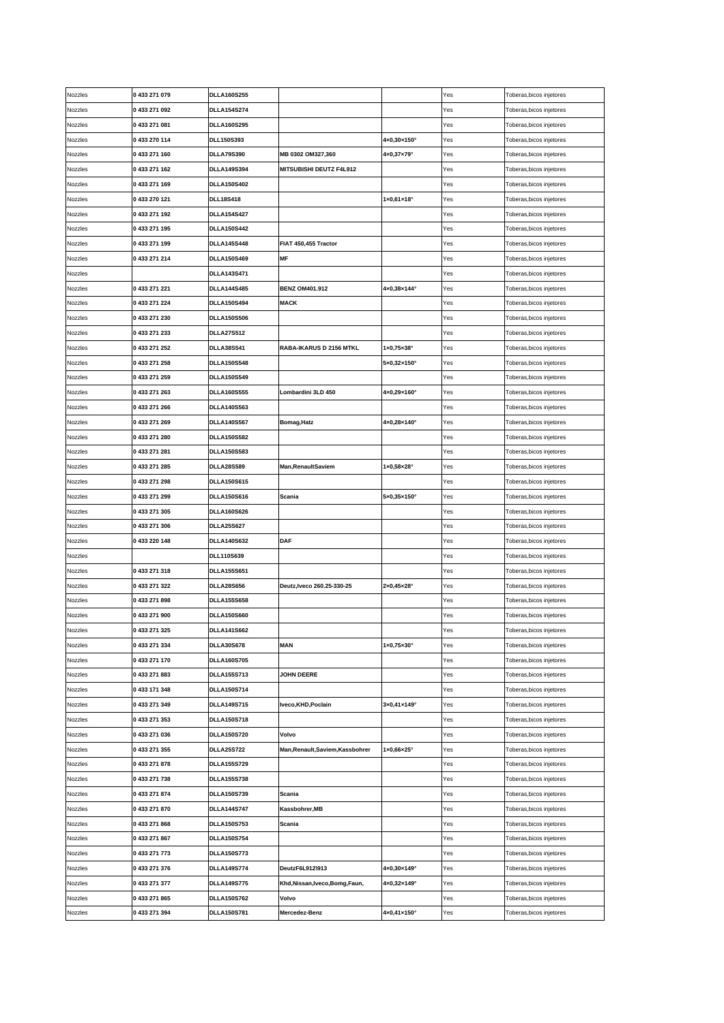| Nozzles | 0433271079                     | <b>DLLA160S255</b>                       |                                  |                                 | Yes        | Toberas, bicos injetores                             |
|---------|--------------------------------|------------------------------------------|----------------------------------|---------------------------------|------------|------------------------------------------------------|
| Nozzles | 0 433 271 092                  | <b>DLLA154S274</b>                       |                                  |                                 | Yes        | Toberas,bicos injetores                              |
| Nozzles | 0 433 271 081                  | <b>DLLA160S295</b>                       |                                  |                                 | Yes        | Toberas,bicos injetores                              |
| Nozzles | 0 433 270 114                  | DLL150S393                               |                                  | 4×0,30×150°                     | Yes        | Toberas,bicos injetores                              |
| Nozzles | 0433 271 160                   | <b>DLLA79S390</b>                        | MB 0302 OM327,360                | 4×0,37×79°                      | Yes        | Toberas,bicos injetores                              |
| Nozzles | 0 433 271 162                  | <b>DLLA149S394</b>                       | MITSUBISHI DEUTZ F4L912          |                                 | Yes        | Toberas, bicos injetores                             |
| Nozzles | 0433271169                     | <b>DLLA150S402</b>                       |                                  |                                 | Yes        | Toberas,bicos injetores                              |
| Nozzles | 0 433 270 121                  | <b>DLL18S418</b>                         |                                  | $1 \times 0,61 \times 18$ °     | Yes        | Toberas,bicos injetores                              |
| Nozzles | 0 433 271 192                  | <b>DLLA154S427</b>                       |                                  |                                 | Yes        | Toberas,bicos injetores                              |
| Nozzles | 0 433 271 195                  | <b>DLLA150S442</b>                       |                                  |                                 | Yes        | Toberas,bicos injetores                              |
| Nozzles | 0 433 271 199                  | <b>DLLA145S448</b>                       | FIAT 450,455 Tractor             |                                 | Yes        | Toberas,bicos injetores                              |
| Nozzles | 0 433 271 214                  | <b>DLLA150S469</b>                       | MF                               |                                 | Yes        | Toberas,bicos injetores                              |
| Nozzles |                                | <b>DLLA143S471</b>                       |                                  |                                 | Yes        | Toberas,bicos injetores                              |
| Nozzles | 0 433 271 221                  | <b>DLLA144S485</b>                       | <b>BENZ OM401.912</b>            | 4×0,38×144°                     | Yes        | Toberas,bicos injetores                              |
| Nozzles | 0 433 271 224                  | <b>DLLA150S494</b>                       | <b>MACK</b>                      |                                 | Yes        | Toberas,bicos injetores                              |
| Nozzles | 0433271230                     | <b>DLLA150S506</b>                       |                                  |                                 | Yes        | Toberas,bicos injetores                              |
| Nozzles | 0 433 271 233                  | <b>DLLA27S512</b>                        |                                  |                                 | Yes        | Toberas,bicos injetores                              |
| Nozzles | 0 433 271 252                  | <b>DLLA38S541</b>                        | RABA-IKARUS D 2156 MTKL          | $1 \times 0.75 \times 38$ °     | Yes        | Toberas,bicos injetores                              |
| Nozzles | 0 433 271 258                  | <b>DLLA150S548</b>                       |                                  | 5×0,32×150°                     | Yes        | Toberas,bicos injetores                              |
| Nozzles | 0 433 271 259                  | <b>DLLA150S549</b>                       |                                  |                                 | Yes        | Toberas,bicos injetores                              |
| Nozzles | 0 433 271 263                  | <b>DLLA160S555</b>                       | Lombardini 3LD 450               | 4×0,29×160°                     | Yes        | Toberas,bicos injetores                              |
| Nozzles | 0 433 271 266                  | <b>DLLA140S563</b>                       |                                  |                                 | Yes        | Toberas, bicos injetores                             |
| Nozzles | 0 433 271 269                  | <b>DLLA140S567</b>                       | Bomag, Hatz                      | 4×0,28×140°                     | Yes        | Toberas,bicos injetores                              |
| Nozzles | 0433 271 280                   | <b>DLLA150S582</b>                       |                                  |                                 | Yes        | Toberas, bicos injetores                             |
| Nozzles | 0 433 271 281                  | <b>DLLA150S583</b>                       |                                  |                                 | Yes        | Toberas,bicos injetores                              |
| Nozzles | 0 433 271 285                  | <b>DLLA28S589</b>                        | <b>Man, Renault Saviem</b>       | 1×0,58×28°                      | Yes        | Toberas,bicos injetores                              |
| Nozzles | 0 433 271 298                  | <b>DLLA150S615</b>                       |                                  |                                 | Yes        | Toberas,bicos injetores                              |
| Nozzles | 0 433 271 299                  | <b>DLLA150S616</b>                       | Scania                           | 5×0,35×150°                     | Yes        | Toberas,bicos injetores                              |
|         |                                |                                          |                                  |                                 |            |                                                      |
|         |                                |                                          |                                  |                                 |            |                                                      |
| Nozzles | 0 433 271 305                  | <b>DLLA160S626</b>                       |                                  |                                 | Yes        | Toberas,bicos injetores                              |
| Nozzles | 0 433 271 306                  | <b>DLLA25S627</b>                        |                                  |                                 | Yes<br>Yes | Toberas,bicos injetores                              |
| Nozzles | 0 433 220 148                  | <b>DLLA140S632</b>                       | DAF                              |                                 |            | Toberas, bicos injetores                             |
| Nozzles |                                | DLL110S639                               |                                  |                                 | Yes        | Toberas,bicos injetores                              |
| Nozzles | 0 433 271 318                  | <b>DLLA155S651</b>                       |                                  |                                 | Yes        | Toberas,bicos injetores                              |
| Nozzles | 0 433 271 322                  | <b>DLLA28S656</b>                        | Deutz, Iveco 260.25-330-25       | $2 \times 0,45 \times 28$ °     | Yes        | Toberas,bicos injetores                              |
| Nozzles | 0433271898                     | <b>DLLA155S658</b>                       |                                  |                                 | Yes        | Toberas,bicos injetores                              |
| Nozzles | 0433 271 900                   | <b>DLLA150S660</b>                       |                                  |                                 | Yes        | Toberas, bicos injetores                             |
| Nozzles | 0 433 271 325                  | <b>DLLA141S662</b>                       |                                  |                                 | Yes        | Toberas, bicos injetores                             |
| Nozzles | 0 433 271 334                  | <b>DLLA30S678</b>                        | <b>MAN</b>                       | $1 \times 0,75 \times 30^\circ$ | Yes        | Toberas,bicos injetores                              |
| Nozzles | 0 433 271 170                  | <b>DLLA160S705</b>                       |                                  |                                 | Yes        | Toberas, bicos injetores                             |
| Nozzles | 0433 271 883                   | <b>DLLA155S713</b>                       | <b>JOHN DEERE</b>                |                                 | Yes        | Toberas, bicos injetores                             |
| Nozzles | 0 433 171 348                  | <b>DLLA150S714</b>                       |                                  |                                 | Yes        | Toberas, bicos injetores                             |
| Nozzles | 0 433 271 349                  | <b>DLLA149S715</b>                       | Iveco, KHD, Poclain              | 3×0,41×149°                     | Yes        | Toberas, bicos injetores                             |
| Nozzles | 0 433 271 353                  | <b>DLLA150S718</b>                       |                                  |                                 | Yes        | Toberas, bicos injetores                             |
| Nozzles | 0433271036                     | <b>DLLA150S720</b>                       | Volvo                            |                                 | Yes        | Toberas,bicos injetores                              |
| Nozzles | 0 433 271 355                  | <b>DLLA25S722</b>                        | Man, Renault, Saviem, Kassbohrer | $1 \times 0,66 \times 25$ °     | Yes        | Toberas, bicos injetores                             |
| Nozzles | 0 433 271 878                  | <b>DLLA155S729</b>                       |                                  |                                 | Yes        | Toberas, bicos injetores                             |
| Nozzles | 0 433 271 738                  | <b>DLLA155S738</b>                       |                                  |                                 | Yes        | Toberas, bicos injetores                             |
| Nozzles | 0 433 271 874                  | <b>DLLA150S739</b>                       | Scania                           |                                 | Yes        | Toberas, bicos injetores                             |
| Nozzles | 0 433 271 870                  | <b>DLLA144S747</b>                       | Kassbohrer,MB                    |                                 | Yes        | Toberas,bicos injetores                              |
| Nozzles | 0433271868                     | <b>DLLA150S753</b>                       | Scania                           |                                 | Yes        | Toberas, bicos injetores                             |
| Nozzles | 0 433 271 867                  | <b>DLLA150S754</b>                       |                                  |                                 | Yes        | Toberas, bicos injetores                             |
| Nozzles | 0 433 271 773                  | <b>DLLA150S773</b>                       |                                  |                                 | Yes        | Toberas, bicos injetores                             |
| Nozzles | 0 433 271 376                  | <b>DLLA149S774</b>                       | DeutzF6L912\913                  | 4×0,30×149°                     | Yes        | Toberas, bicos injetores                             |
| Nozzles | 0 433 271 377                  | <b>DLLA149S775</b>                       | Khd, Nissan, Iveco, Bomg, Faun,  | 4×0,32×149°                     | Yes        | Toberas, bicos injetores                             |
| Nozzles | 0 433 271 865<br>0 433 271 394 | <b>DLLA150S762</b><br><b>DLLA150S781</b> | Volvo<br>Mercedez-Benz           | 4×0,41×150°                     | Yes        | Toberas, bicos injetores<br>Toberas, bicos injetores |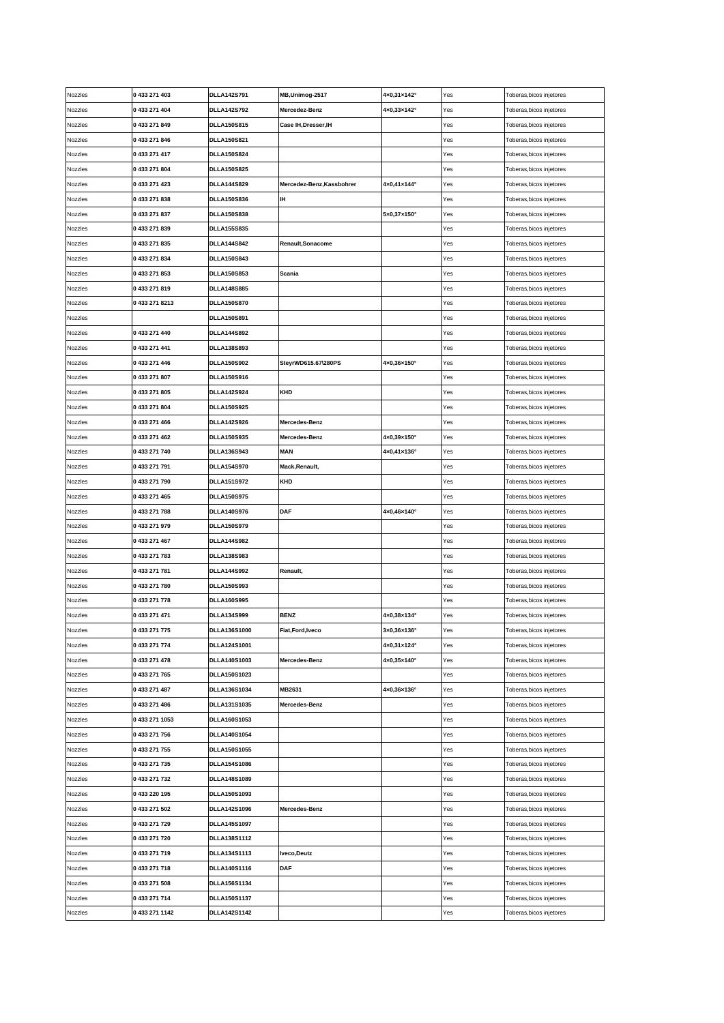| Nozzles | 0 433 271 403  | <b>DLLA142S791</b>  | MB, Unimog-2517           | 4×0,31×142°                  | Yes | Toberas, bicos injetores |
|---------|----------------|---------------------|---------------------------|------------------------------|-----|--------------------------|
| Nozzles | 0 433 271 404  | <b>DLLA142S792</b>  | Mercedez-Benz             | $4 \times 0,33 \times 142$ ° | Yes | Toberas,bicos injetores  |
| Nozzles | 0 433 271 849  | <b>DLLA150S815</b>  | Case IH, Dresser, IH      |                              | Yes | Toberas,bicos injetores  |
| Nozzles | 0 433 271 846  | <b>DLLA150S821</b>  |                           |                              | Yes | Toberas,bicos injetores  |
| Nozzles | 0 433 271 417  | <b>DLLA150S824</b>  |                           |                              | Yes | Toberas,bicos injetores  |
| Nozzles | 0 433 271 804  | <b>DLLA150S825</b>  |                           |                              | Yes | Toberas, bicos injetores |
| Nozzles | 0 433 271 423  | <b>DLLA144S829</b>  | Mercedez-Benz, Kassbohrer | 4×0,41×144°                  | Yes | Toberas, bicos injetores |
| Nozzles | 0433 271 838   | <b>DLLA150S836</b>  | IΗ                        |                              | Yes | Toberas, bicos injetores |
| Nozzles | 0 433 271 837  | <b>DLLA150S838</b>  |                           | 5×0,37×150°                  | Yes | Toberas,bicos injetores  |
| Nozzles | 0433271839     | <b>DLLA155S835</b>  |                           |                              | Yes | Toberas, bicos injetores |
| Nozzles | 0 433 271 835  | <b>DLLA144S842</b>  | Renault, Sonacome         |                              | Yes | Toberas, bicos injetores |
| Nozzles | 0 433 271 834  | <b>DLLA150S843</b>  |                           |                              | Yes | Toberas, bicos injetores |
| Nozzles | 0 433 271 853  | <b>DLLA150S853</b>  | Scania                    |                              | Yes | Toberas,bicos injetores  |
| Nozzles | 0433271819     | <b>DLLA148S885</b>  |                           |                              | Yes | Toberas,bicos injetores  |
| Nozzles | 0 433 271 8213 | <b>DLLA150S870</b>  |                           |                              | Yes | Toberas,bicos injetores  |
| Nozzles |                | <b>DLLA150S891</b>  |                           |                              | Yes | Toberas,bicos injetores  |
| Nozzles | 0 433 271 440  | <b>DLLA144S892</b>  |                           |                              | Yes | Toberas, bicos injetores |
| Nozzles | 0 433 271 441  | DLLA138S893         |                           |                              | Yes | Toberas,bicos injetores  |
| Nozzles | 0 433 271 446  | <b>DLLA150S902</b>  | SteyrWD615.67\280PS       | $4 \times 0,36 \times 150$ ° | Yes | Toberas, bicos injetores |
| Nozzles | 0433271807     | <b>DLLA150S916</b>  |                           |                              | Yes | Toberas, bicos injetores |
| Nozzles | 0433271805     | <b>DLLA142S924</b>  | KHD                       |                              | Yes | Toberas,bicos injetores  |
| Nozzles | 0 433 271 804  | <b>DLLA150S925</b>  |                           |                              | Yes | Toberas,bicos injetores  |
| Nozzles | 0 433 271 466  | <b>DLLA142S926</b>  | Mercedes-Benz             |                              | Yes | Toberas, bicos injetores |
| Nozzles | 0 433 271 462  | <b>DLLA150S935</b>  | Mercedes-Benz             | 4×0,39×150°                  | Yes | Toberas, bicos injetores |
| Nozzles | 0 433 271 740  | <b>DLLA136S943</b>  | <b>MAN</b>                | 4×0,41×136°                  | Yes | Toberas,bicos injetores  |
| Nozzles | 0 433 271 791  | <b>DLLA154S970</b>  | Mack,Renault,             |                              | Yes | Toberas,bicos injetores  |
| Nozzles | 0 433 271 790  | <b>DLLA151S972</b>  | KHD                       |                              | Yes | Toberas,bicos injetores  |
| Nozzles | 0 433 271 465  | <b>DLLA150S975</b>  |                           |                              | Yes | Toberas,bicos injetores  |
|         |                |                     |                           |                              |     |                          |
| Nozzles | 0433271788     | <b>DLLA140S976</b>  | DAF                       | 4×0,46×140°                  | Yes | Toberas,bicos injetores  |
| Nozzles | 0 433 271 979  | <b>DLLA150S979</b>  |                           |                              | Yes | Toberas, bicos injetores |
| Nozzles | 0 433 271 467  | <b>DLLA144S982</b>  |                           |                              | Yes | Toberas, bicos injetores |
| Nozzles | 0 433 271 783  | <b>DLLA138S983</b>  |                           |                              | Yes | Toberas, bicos injetores |
| Nozzles | 0 433 271 781  | <b>DLLA144S992</b>  | Renault,                  |                              | Yes | Toberas, bicos injetores |
| Nozzles | 0433 271 780   | <b>DLLA150S993</b>  |                           |                              | Yes | Toberas,bicos injetores  |
| Nozzles | 0 433 271 778  | <b>DLLA160S995</b>  |                           |                              | Yes | Toberas, bicos injetores |
| Nozzles | 0 433 271 471  | <b>DLLA134S999</b>  | <b>BENZ</b>               | 4×0,38×134°                  | Yes | Toberas, bicos injetores |
| Nozzles | 0 433 271 775  | DLLA136S1000        | Fiat, Ford, Iveco         | 3×0,36×136°                  | Yes | Toberas, bicos injetores |
| Nozzles | 0 433 271 774  | DLLA124S1001        |                           | 4×0,31×124°                  | Yes | Toberas, bicos injetores |
| Nozzles | 0 433 271 478  | DLLA140S1003        | Mercedes-Benz             | 4×0,35×140°                  | Yes | Toberas, bicos injetores |
| Nozzles | 0 433 271 765  | <b>DLLA150S1023</b> |                           |                              | Yes | Toberas, bicos injetores |
| Nozzles | 0 433 271 487  | DLLA136S1034        | MB2631                    | 4×0,36×136°                  | Yes | Toberas, bicos injetores |
| Nozzles | 0 433 271 486  | DLLA131S1035        | Mercedes-Benz             |                              | Yes | Toberas, bicos injetores |
| Nozzles | 0 433 271 1053 | DLLA160S1053        |                           |                              | Yes | Toberas, bicos injetores |
| Nozzles | 0 433 271 756  | DLLA140S1054        |                           |                              | Yes | Toberas, bicos injetores |
| Nozzles | 0 433 271 755  | <b>DLLA150S1055</b> |                           |                              | Yes | Toberas, bicos injetores |
| Nozzles | 0 433 271 735  | <b>DLLA154S1086</b> |                           |                              | Yes | Toberas, bicos injetores |
| Nozzles | 0 433 271 732  | DLLA148S1089        |                           |                              | Yes | Toberas, bicos injetores |
| Nozzles | 0 433 220 195  | DLLA150S1093        |                           |                              | Yes | Toberas, bicos injetores |
| Nozzles | 0 433 271 502  | <b>DLLA142S1096</b> | Mercedes-Benz             |                              | Yes | Toberas, bicos injetores |
| Nozzles | 0 433 271 729  | <b>DLLA145S1097</b> |                           |                              | Yes | Toberas,bicos injetores  |
| Nozzles | 0 433 271 720  | <b>DLLA138S1112</b> |                           |                              | Yes | Toberas, bicos injetores |
| Nozzles | 0 433 271 719  | <b>DLLA134S1113</b> | Iveco, Deutz              |                              | Yes | Toberas, bicos injetores |
| Nozzles | 0433271718     | <b>DLLA140S1116</b> | DAF                       |                              | Yes | Toberas, bicos injetores |
| Nozzles | 0 433 271 508  | <b>DLLA156S1134</b> |                           |                              | Yes | Toberas, bicos injetores |
| Nozzles | 0 433 271 714  | DLLA150S1137        |                           |                              | Yes | Toberas, bicos injetores |
| Nozzles | 0 433 271 1142 | DLLA142S1142        |                           |                              | Yes | Toberas, bicos injetores |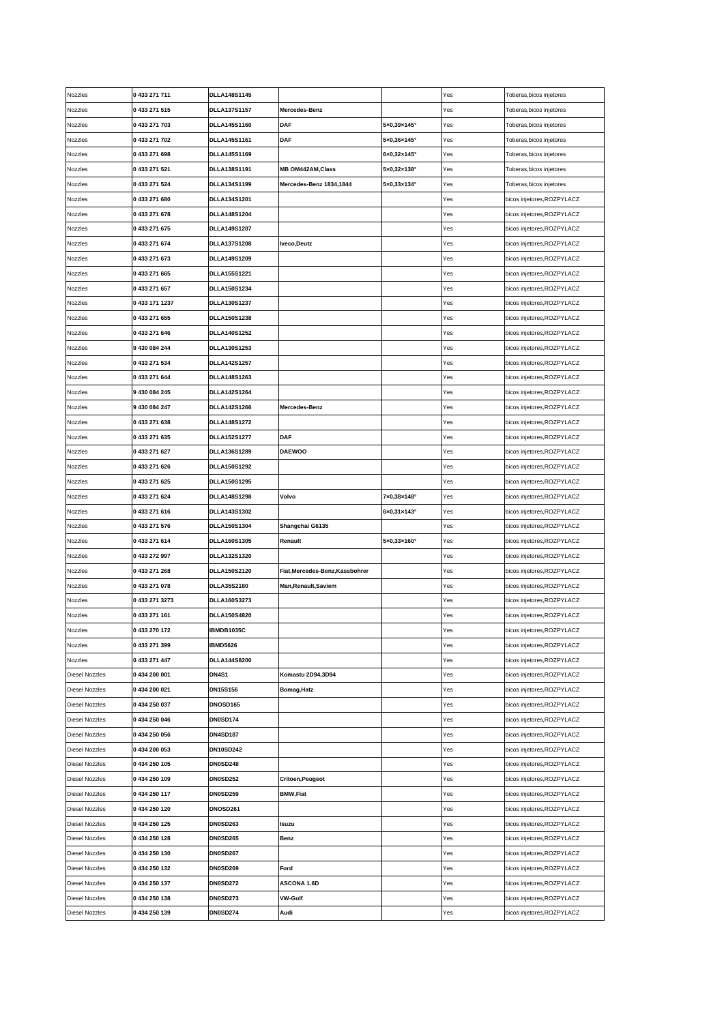| Nozzles               | 0 433 271 711  | <b>DLLA148S1145</b> |                                 |                              | Yes | Toberas, bicos injetores   |
|-----------------------|----------------|---------------------|---------------------------------|------------------------------|-----|----------------------------|
| Nozzles               | 0 433 271 515  | <b>DLLA137S1157</b> | Mercedes-Benz                   |                              | Yes | Toberas, bicos injetores   |
| Nozzles               | 0 433 271 703  | DLLA145S1160        | <b>DAF</b>                      | 5×0,39×145°                  | Yes | Toberas, bicos injetores   |
| Nozzles               | 0 433 271 702  | DLLA145S1161        | DAF                             | $5\times0,36\times145^\circ$ | Yes | Toberas, bicos injetores   |
| Nozzles               | 0 433 271 698  | DLLA145S1169        |                                 | 6×0,32×145°                  | Yes | Toberas, bicos injetores   |
| Nozzles               | 0 433 271 521  | DLLA138S1191        | <b>MB OM442AM, Class</b>        | 5×0,32×138°                  | Yes | Toberas, bicos injetores   |
| Nozzles               | 0 433 271 524  | DLLA134S1199        | Mercedes-Benz 1834,1844         | 5×0,33×134°                  | Yes | Toberas, bicos injetores   |
| Nozzles               | 0 433 271 680  | DLLA134S1201        |                                 |                              | Yes | bicos injetores, ROZPYLACZ |
| Nozzles               | 0 433 271 678  | <b>DLLA148S1204</b> |                                 |                              | Yes | bicos injetores, ROZPYLACZ |
| Nozzles               | 0 433 271 675  | DLLA149S1207        |                                 |                              | Yes | bicos injetores, ROZPYLACZ |
| Nozzles               | 0 433 271 674  | DLLA137S1208        | Iveco, Deutz                    |                              | Yes | bicos injetores, ROZPYLACZ |
| Nozzles               | 0 433 271 673  | DLLA149S1209        |                                 |                              | Yes | bicos injetores, ROZPYLACZ |
| Nozzles               | 0 433 271 665  | <b>DLLA155S1221</b> |                                 |                              | Yes | bicos injetores, ROZPYLACZ |
| Nozzles               | 0 433 271 657  | DLLA150S1234        |                                 |                              | Yes | bicos injetores, ROZPYLACZ |
| Nozzles               | 0 433 171 1237 | DLLA130S1237        |                                 |                              | Yes | bicos injetores, ROZPYLACZ |
| Nozzles               | 0 433 271 655  | <b>DLLA150S1238</b> |                                 |                              | Yes | bicos injetores, ROZPYLACZ |
| Nozzles               | 0 433 271 646  | <b>DLLA140S1252</b> |                                 |                              | Yes | bicos injetores, ROZPYLACZ |
| Nozzles               | 9 430 084 244  | DLLA130S1253        |                                 |                              | Yes | bicos injetores, ROZPYLACZ |
| Nozzles               | 0 433 271 534  | <b>DLLA142S1257</b> |                                 |                              | Yes | bicos injetores, ROZPYLACZ |
| Vozzles               | 0 433 271 644  | <b>DLLA148S1263</b> |                                 |                              | Yes | bicos injetores, ROZPYLACZ |
| Nozzles               | 9 430 084 245  | <b>DLLA142S1264</b> |                                 |                              | Yes | bicos injetores, ROZPYLACZ |
| Nozzles               | 9 430 084 247  | <b>DLLA142S1266</b> | Mercedes-Benz                   |                              | Yes | bicos injetores, ROZPYLACZ |
| Nozzles               | 0433 271 638   | <b>DLLA148S1272</b> |                                 |                              | Yes | bicos injetores, ROZPYLACZ |
| Nozzles               | 0 433 271 635  | <b>DLLA152S1277</b> | <b>DAF</b>                      |                              | Yes | bicos injetores, ROZPYLACZ |
| Nozzles               | 0 433 271 627  | <b>DLLA136S1289</b> | <b>DAEWOO</b>                   |                              | Yes | bicos injetores, ROZPYLACZ |
| Nozzles               | 0 433 271 626  | <b>DLLA150S1292</b> |                                 |                              | Yes | bicos injetores, ROZPYLACZ |
| Nozzles               | 0 433 271 625  | <b>DLLA150S1295</b> |                                 |                              | Yes | bicos injetores, ROZPYLACZ |
| Nozzles               | 0 433 271 624  | <b>DLLA148S1298</b> | Volvo                           | 7×0,38×148°                  | Yes | bicos injetores, ROZPYLACZ |
|                       |                |                     |                                 |                              |     |                            |
|                       |                |                     |                                 |                              |     |                            |
| Nozzles               | 0 433 271 616  | DLLA143S1302        |                                 | $6 \times 0,31 \times 143$ ° | Yes | bicos injetores, ROZPYLACZ |
| Nozzles               | 0 433 271 576  | DLLA150S1304        | Shangchai G6135                 |                              | Yes | bicos injetores, ROZPYLACZ |
| Nozzles               | 0 433 271 614  | <b>DLLA160S1305</b> | Renault                         | 5×0,33×160°                  | Yes | bicos injetores, ROZPYLACZ |
| Nozzles               | 0433272997     | DLLA132S1320        |                                 |                              | Yes | bicos injetores, ROZPYLACZ |
| Nozzles               | 0433271268     | <b>DLLA150S2120</b> | Fiat, Mercedes-Benz, Kassbohrer |                              | Yes | bicos injetores, ROZPYLACZ |
| Nozzles               | 0 433 271 078  | <b>DLLA35S2180</b>  | Man, Renault, Saviem            |                              | Yes | bicos injetores, ROZPYLACZ |
| Nozzles               | 0 433 271 3273 | <b>DLLA160S3273</b> |                                 |                              | Yes | bicos injetores, ROZPYLACZ |
| Nozzles               | 0 433 271 161  | <b>DLLA150S4820</b> |                                 |                              | Yes | bicos injetores, ROZPYLACZ |
| Nozzles               | 0 433 270 172  | IBMDB1035C          |                                 |                              | Yes | bicos injetores, ROZPYLACZ |
| Vozzles               | 0 433 271 399  | <b>IBMD5626</b>     |                                 |                              | Yes | bicos injetores, ROZPYLACZ |
| Vozzles               | 0 433 271 447  | <b>DLLA144S8200</b> |                                 |                              | Yes | bicos injetores, ROZPYLACZ |
| Diesel Nozzles        | 0434 200 001   | <b>DN4S1</b>        | Komastu 2D94,3D94               |                              | Yes | bicos injetores, ROZPYLACZ |
| Diesel Nozzles        | 0434 200 021   | DN15S156            | Bomag, Hatz                     |                              | Yes | bicos injetores, ROZPYLACZ |
| Diesel Nozzles        | 0434 250 037   | <b>DNOSD165</b>     |                                 |                              | Yes | bicos injetores, ROZPYLACZ |
| Diesel Nozzles        | 0434 250 046   | <b>DN0SD174</b>     |                                 |                              | Yes | bicos injetores, ROZPYLACZ |
| Diesel Nozzles        | 0434 250 056   | <b>DN4SD187</b>     |                                 |                              | Yes | bicos injetores, ROZPYLACZ |
| Diesel Nozzles        | 0434 200 053   | <b>DN10SD242</b>    |                                 |                              | Yes | bicos injetores, ROZPYLACZ |
| Diesel Nozzles        | 0434 250 105   | <b>DN0SD248</b>     |                                 |                              | Yes | bicos injetores, ROZPYLACZ |
| Diesel Nozzles        | 0434 250 109   | <b>DN0SD252</b>     | Critoen, Peugeot                |                              | Yes | bicos injetores, ROZPYLACZ |
| <b>Diesel Nozzles</b> | 0 434 250 117  | <b>DN0SD259</b>     | <b>BMW,Fiat</b>                 |                              | Yes | bicos injetores, ROZPYLACZ |
| Diesel Nozzles        | 0434 250 120   | <b>DNOSD261</b>     |                                 |                              | Yes | bicos injetores, ROZPYLACZ |
| Diesel Nozzles        | 0 434 250 125  | <b>DN0SD263</b>     | Isuzu                           |                              | Yes | bicos injetores, ROZPYLACZ |
| Diesel Nozzles        | 0434 250 128   | <b>DN0SD265</b>     | Benz                            |                              | Yes | bicos injetores, ROZPYLACZ |
| Diesel Nozzles        | 0434 250 130   | <b>DN0SD267</b>     |                                 |                              | Yes | bicos injetores, ROZPYLACZ |
| Diesel Nozzles        | 0 434 250 132  | <b>DN0SD269</b>     | Ford                            |                              | Yes | bicos injetores, ROZPYLACZ |
| Diesel Nozzles        | 0 434 250 137  | <b>DN0SD272</b>     | ASCONA 1.6D                     |                              | Yes | bicos injetores, ROZPYLACZ |
| Diesel Nozzles        | 0434 250 138   | <b>DN0SD273</b>     | <b>VW-Golf</b>                  |                              | Yes | bicos injetores, ROZPYLACZ |
| Diesel Nozzles        | 0 434 250 139  | <b>DN0SD274</b>     | Audi                            |                              | Yes | bicos injetores, ROZPYLACZ |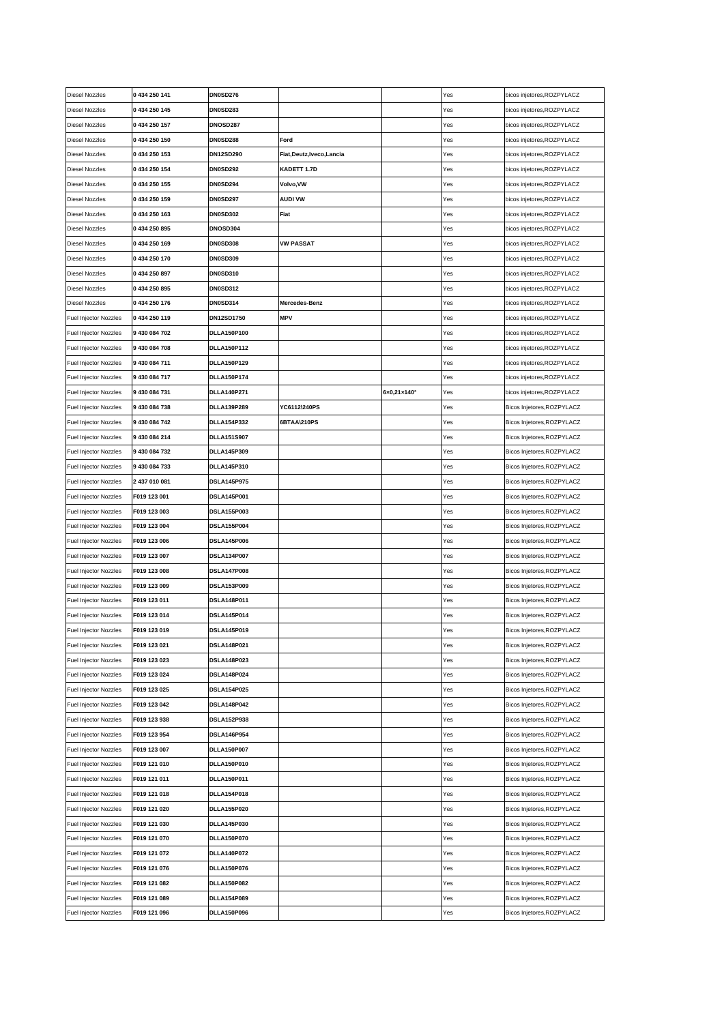| <b>Diesel Nozzles</b>        | 0 434 250 141 | <b>DN0SD276</b>    |                         |             | Yes | bicos injetores, ROZPYLACZ |
|------------------------------|---------------|--------------------|-------------------------|-------------|-----|----------------------------|
| <b>Diesel Nozzles</b>        | 0 434 250 145 | <b>DN0SD283</b>    |                         |             | Yes | bicos injetores, ROZPYLACZ |
| <b>Diesel Nozzles</b>        | 0 434 250 157 | DNOSD287           |                         |             | Yes | bicos injetores, ROZPYLACZ |
| <b>Diesel Nozzles</b>        | 0 434 250 150 | <b>DN0SD288</b>    | Ford                    |             | Yes | bicos injetores, ROZPYLACZ |
| Diesel Nozzles               | 0 434 250 153 | DN12SD290          | Fiat,Deutz,Iveco,Lancia |             | Yes | bicos injetores, ROZPYLACZ |
| Diesel Nozzles               | 0 434 250 154 | <b>DN0SD292</b>    | KADETT 1.7D             |             | Yes | bicos injetores, ROZPYLACZ |
| Diesel Nozzles               | 0 434 250 155 | <b>DN0SD294</b>    | Volvo, VW               |             | Yes | bicos injetores, ROZPYLACZ |
| <b>Diesel Nozzles</b>        | 0 434 250 159 | <b>DN0SD297</b>    | AUDI VW                 |             | Yes | bicos injetores, ROZPYLACZ |
| <b>Diesel Nozzles</b>        | 0434 250 163  | <b>DN0SD302</b>    | Fiat                    |             | Yes | bicos injetores, ROZPYLACZ |
| <b>Diesel Nozzles</b>        | 0434 250 895  | DNOSD304           |                         |             | Yes | bicos injetores, ROZPYLACZ |
| Diesel Nozzles               | 0434 250 169  | <b>DN0SD308</b>    | <b>VW PASSAT</b>        |             | Yes | bicos injetores, ROZPYLACZ |
| Diesel Nozzles               | 0434 250 170  | <b>DN0SD309</b>    |                         |             | Yes | bicos injetores, ROZPYLACZ |
| Diesel Nozzles               | 0434 250 897  | <b>DN0SD310</b>    |                         |             | Yes | bicos injetores, ROZPYLACZ |
| <b>Diesel Nozzles</b>        | 0434 250 895  | <b>DN0SD312</b>    |                         |             | Yes | bicos injetores, ROZPYLACZ |
| <b>Diesel Nozzles</b>        | 0 434 250 176 | <b>DN0SD314</b>    | Mercedes-Benz           |             | Yes | bicos injetores, ROZPYLACZ |
| Fuel Injector Nozzles        | 0434 250 119  | DN12SD1750         | <b>MPV</b>              |             | Yes | bicos injetores, ROZPYLACZ |
| Fuel Injector Nozzles        | 9 430 084 702 | <b>DLLA150P100</b> |                         |             | Yes | bicos injetores, ROZPYLACZ |
| Fuel Injector Nozzles        | 9 430 084 708 | <b>DLLA150P112</b> |                         |             | Yes | bicos injetores, ROZPYLACZ |
| Fuel Injector Nozzles        | 9 430 084 711 | <b>DLLA150P129</b> |                         |             | Yes | bicos injetores, ROZPYLACZ |
| Fuel Injector Nozzles        | 9 430 084 717 | <b>DLLA150P174</b> |                         |             | Yes | bicos injetores, ROZPYLACZ |
| Fuel Injector Nozzles        | 9 430 084 731 | <b>DLLA140P271</b> |                         | 6×0,21×140° | Yes | bicos injetores, ROZPYLACZ |
| Fuel Injector Nozzles        | 9 430 084 738 | <b>DLLA139P289</b> | YC6112\240PS            |             | Yes | Bicos Injetores, ROZPYLACZ |
| Fuel Injector Nozzles        | 9 430 084 742 | <b>DLLA154P332</b> | 6BTAA\210PS             |             |     |                            |
|                              |               |                    |                         |             | Yes | Bicos Injetores, ROZPYLACZ |
| Fuel Injector Nozzles        | 9 430 084 214 | <b>DLLA151S907</b> |                         |             | Yes | Bicos Injetores, ROZPYLACZ |
| Fuel Injector Nozzles        | 9 430 084 732 | <b>DLLA145P309</b> |                         |             | Yes | Bicos Injetores, ROZPYLACZ |
| Fuel Injector Nozzles        | 9 430 084 733 | <b>DLLA145P310</b> |                         |             | Yes | Bicos Injetores, ROZPYLACZ |
| <b>Fuel Injector Nozzles</b> | 2 437 010 081 | <b>DSLA145P975</b> |                         |             | Yes | Bicos Injetores, ROZPYLACZ |
| Fuel Injector Nozzles        | F019 123 001  | <b>DSLA145P001</b> |                         |             | Yes | Bicos Injetores, ROZPYLACZ |
| Fuel Injector Nozzles        | F019 123 003  | DSLA155P003        |                         |             | Yes | Bicos Injetores, ROZPYLACZ |
| Fuel Injector Nozzles        | F019 123 004  | <b>DSLA155P004</b> |                         |             | Yes | Bicos Injetores, ROZPYLACZ |
| Fuel Injector Nozzles        | F019 123 006  | <b>DSLA145P006</b> |                         |             | Yes | Bicos Injetores, ROZPYLACZ |
| Fuel Injector Nozzles        | F019 123 007  | <b>DSLA134P007</b> |                         |             | Yes | Bicos Injetores, ROZPYLACZ |
| Fuel Injector Nozzles        | F019 123 008  | <b>DSLA147P008</b> |                         |             | Yes | Bicos Injetores, ROZPYLACZ |
| Fuel Injector Nozzles        | F019 123 009  | DSLA153P009        |                         |             | Yes | Bicos Injetores, ROZPYLACZ |
| Fuel Injector Nozzles        | F019 123 011  | DSLA148P011        |                         |             | Yes | Bicos Injetores, ROZPYLACZ |
| Fuel Injector Nozzles        | F019 123 014  | DSLA145P014        |                         |             | Yes | Bicos Injetores, ROZPYLACZ |
| <b>Fuel Injector Nozzles</b> | F019 123 019  | DSLA145P019        |                         |             | Yes | Bicos Injetores, ROZPYLACZ |
| Fuel Injector Nozzles        | F019 123 021  | DSLA148P021        |                         |             | Yes | Bicos Injetores, ROZPYLACZ |
| Fuel Injector Nozzles        | F019 123 023  | <b>DSLA148P023</b> |                         |             | Yes | Bicos Injetores, ROZPYLACZ |
| Fuel Injector Nozzles        | F019 123 024  | <b>DSLA148P024</b> |                         |             | Yes | Bicos Injetores, ROZPYLACZ |
| Fuel Injector Nozzles        | F019 123 025  | <b>DSLA154P025</b> |                         |             | Yes | Bicos Injetores, ROZPYLACZ |
| Fuel Injector Nozzles        | F019 123 042  | <b>DSLA148P042</b> |                         |             | Yes | Bicos Injetores, ROZPYLACZ |
| Fuel Injector Nozzles        | F019 123 938  | <b>DSLA152P938</b> |                         |             | Yes | Bicos Injetores, ROZPYLACZ |
| Fuel Injector Nozzles        | F019 123 954  | <b>DSLA146P954</b> |                         |             | Yes | Bicos Injetores, ROZPYLACZ |
| Fuel Injector Nozzles        | F019 123 007  | <b>DLLA150P007</b> |                         |             | Yes | Bicos Injetores, ROZPYLACZ |
| Fuel Injector Nozzles        | F019 121 010  | <b>DLLA150P010</b> |                         |             | Yes | Bicos Injetores, ROZPYLACZ |
| Fuel Injector Nozzles        | F019 121 011  | <b>DLLA150P011</b> |                         |             | Yes | Bicos Injetores, ROZPYLACZ |
| Fuel Injector Nozzles        | F019 121 018  | <b>DLLA154P018</b> |                         |             | Yes | Bicos Injetores, ROZPYLACZ |
| Fuel Injector Nozzles        | F019 121 020  | <b>DLLA155P020</b> |                         |             | Yes | Bicos Injetores, ROZPYLACZ |
| Fuel Injector Nozzles        | F019 121 030  | DLLA145P030        |                         |             | Yes | Bicos Injetores, ROZPYLACZ |
| Fuel Injector Nozzles        | F019 121 070  | <b>DLLA150P070</b> |                         |             | Yes | Bicos Injetores, ROZPYLACZ |
| Fuel Injector Nozzles        | F019 121 072  | <b>DLLA140P072</b> |                         |             | Yes | Bicos Injetores, ROZPYLACZ |
| Fuel Injector Nozzles        | F019 121 076  | <b>DLLA150P076</b> |                         |             | Yes | Bicos Injetores, ROZPYLACZ |
| Fuel Injector Nozzles        | F019 121 082  | <b>DLLA150P082</b> |                         |             | Yes | Bicos Injetores, ROZPYLACZ |
| Fuel Injector Nozzles        | F019 121 089  | <b>DLLA154P089</b> |                         |             | Yes | Bicos Injetores, ROZPYLACZ |
| Fuel Injector Nozzles        | F019 121 096  | <b>DLLA150P096</b> |                         |             | Yes | Bicos Injetores, ROZPYLACZ |
|                              |               |                    |                         |             |     |                            |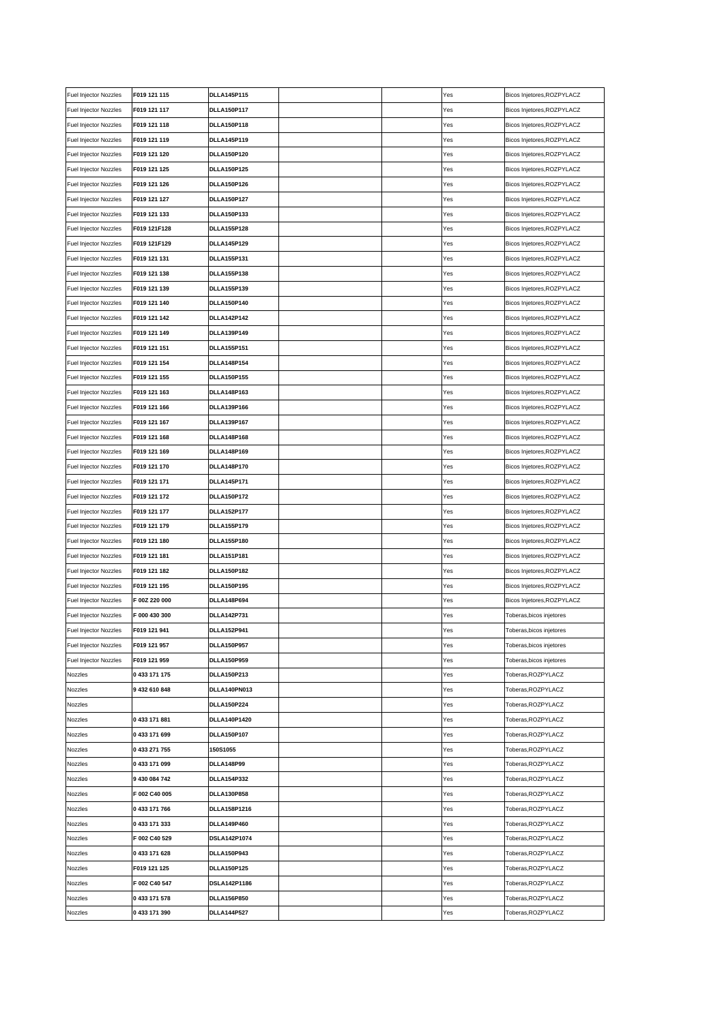| Fuel Injector Nozzles        | F019 121 115  | <b>DLLA145P115</b>  |  | Yes | Bicos Injetores, ROZPYLACZ |
|------------------------------|---------------|---------------------|--|-----|----------------------------|
| Fuel Injector Nozzles        | F019 121 117  | <b>DLLA150P117</b>  |  | Yes | Bicos Injetores, ROZPYLACZ |
| Fuel Injector Nozzles        | F019 121 118  | <b>DLLA150P118</b>  |  | Yes | Bicos Injetores, ROZPYLACZ |
| Fuel Injector Nozzles        | F019 121 119  | <b>DLLA145P119</b>  |  | Yes | Bicos Injetores, ROZPYLACZ |
| Fuel Injector Nozzles        | F019 121 120  | <b>DLLA150P120</b>  |  | Yes | Bicos Injetores, ROZPYLACZ |
| Fuel Injector Nozzles        | F019 121 125  | <b>DLLA150P125</b>  |  | Yes | Bicos Injetores, ROZPYLACZ |
| Fuel Injector Nozzles        | F019 121 126  | <b>DLLA150P126</b>  |  | Yes | Bicos Injetores, ROZPYLACZ |
| Fuel Injector Nozzles        | F019 121 127  | <b>DLLA150P127</b>  |  | Yes | Bicos Injetores, ROZPYLACZ |
| Fuel Injector Nozzles        | F019 121 133  | <b>DLLA150P133</b>  |  | Yes | Bicos Injetores, ROZPYLACZ |
| Fuel Injector Nozzles        | F019 121F128  | <b>DLLA155P128</b>  |  | Yes | Bicos Injetores, ROZPYLACZ |
| Fuel Injector Nozzles        | F019 121F129  | <b>DLLA145P129</b>  |  | Yes | Bicos Injetores, ROZPYLACZ |
| Fuel Injector Nozzles        | F019 121 131  | <b>DLLA155P131</b>  |  | Yes | Bicos Injetores, ROZPYLACZ |
| Fuel Injector Nozzles        | F019 121 138  | <b>DLLA155P138</b>  |  | Yes | Bicos Injetores, ROZPYLACZ |
| Fuel Injector Nozzles        | F019 121 139  | <b>DLLA155P139</b>  |  | Yes | Bicos Injetores, ROZPYLACZ |
| Fuel Injector Nozzles        | F019 121 140  | <b>DLLA150P140</b>  |  | Yes | Bicos Injetores, ROZPYLACZ |
| Fuel Injector Nozzles        | F019 121 142  | <b>DLLA142P142</b>  |  | Yes | Bicos Injetores, ROZPYLACZ |
| Fuel Injector Nozzles        | F019 121 149  | <b>DLLA139P149</b>  |  | Yes | Bicos Injetores, ROZPYLACZ |
| Fuel Injector Nozzles        | F019 121 151  | <b>DLLA155P151</b>  |  | Yes | Bicos Injetores, ROZPYLACZ |
| Fuel Injector Nozzles        | F019 121 154  | <b>DLLA148P154</b>  |  | Yes | Bicos Injetores, ROZPYLACZ |
| Fuel Injector Nozzles        | F019 121 155  | <b>DLLA150P155</b>  |  | Yes | Bicos Injetores, ROZPYLACZ |
| Fuel Injector Nozzles        | F019 121 163  | <b>DLLA148P163</b>  |  | Yes | Bicos Injetores, ROZPYLACZ |
| Fuel Injector Nozzles        | F019 121 166  | <b>DLLA139P166</b>  |  | Yes | Bicos Injetores, ROZPYLACZ |
| <b>Fuel Injector Nozzles</b> | F019 121 167  | <b>DLLA139P167</b>  |  | Yes | Bicos Injetores, ROZPYLACZ |
| Fuel Injector Nozzles        | F019 121 168  | <b>DLLA148P168</b>  |  | Yes | Bicos Injetores, ROZPYLACZ |
| Fuel Injector Nozzles        | F019 121 169  | <b>DLLA148P169</b>  |  | Yes | Bicos Injetores, ROZPYLACZ |
| Fuel Injector Nozzles        | F019 121 170  | <b>DLLA148P170</b>  |  | Yes | Bicos Injetores, ROZPYLACZ |
| Fuel Injector Nozzles        | F019 121 171  | <b>DLLA145P171</b>  |  | Yes | Bicos Injetores, ROZPYLACZ |
| Fuel Injector Nozzles        | F019 121 172  | <b>DLLA150P172</b>  |  | Yes | Bicos Injetores, ROZPYLACZ |
| Fuel Injector Nozzles        | F019 121 177  | <b>DLLA152P177</b>  |  | Yes | Bicos Injetores, ROZPYLACZ |
| Fuel Injector Nozzles        | F019 121 179  | <b>DLLA155P179</b>  |  | Yes | Bicos Injetores, ROZPYLACZ |
| Fuel Injector Nozzles        | F019 121 180  | <b>DLLA155P180</b>  |  | Yes | Bicos Injetores, ROZPYLACZ |
| Fuel Injector Nozzles        | F019 121 181  | <b>DLLA151P181</b>  |  | Yes | Bicos Injetores, ROZPYLACZ |
| Fuel Injector Nozzles        | F019 121 182  | <b>DLLA150P182</b>  |  | Yes | Bicos Injetores, ROZPYLACZ |
| Fuel Injector Nozzles        | F019 121 195  | <b>DLLA150P195</b>  |  | Yes | Bicos Injetores, ROZPYLACZ |
| Fuel Injector Nozzles        | F 00Z 220 000 | <b>DLLA148P694</b>  |  | Yes | Bicos Injetores, ROZPYLACZ |
| Fuel Injector Nozzles        | F 000 430 300 | <b>DLLA142P731</b>  |  | Yes | Toberas, bicos injetores   |
| Fuel Injector Nozzles        | F019 121 941  | <b>DLLA152P941</b>  |  | Yes | Toberas, bicos injetores   |
| Fuel Injector Nozzles        | F019 121 957  | <b>DLLA150P957</b>  |  | Yes | Toberas, bicos injetores   |
| <b>Fuel Injector Nozzles</b> | F019 121 959  | <b>DLLA150P959</b>  |  | Yes | Toberas, bicos injetores   |
| Nozzles                      | 0 433 171 175 | DLLA150P213         |  | Yes | Toberas,ROZPYLACZ          |
| Nozzles                      | 9 432 610 848 | DLLA140PN013        |  | Yes | Toberas, ROZPYLACZ         |
| Nozzles                      |               | <b>DLLA150P224</b>  |  | Yes | Toberas, ROZPYLACZ         |
| Nozzles                      | 0433171881    | DLLA140P1420        |  | Yes | Toberas, ROZPYLACZ         |
| Nozzles                      | 0433171699    | <b>DLLA150P107</b>  |  | Yes | Toberas,ROZPYLACZ          |
| Nozzles                      | 0 433 271 755 | 150S1055            |  | Yes | Toberas,ROZPYLACZ          |
|                              | 0433 171 099  | <b>DLLA148P99</b>   |  |     | Toberas, ROZPYLACZ         |
| Nozzles                      |               |                     |  | Yes | Toberas, ROZPYLACZ         |
| Nozzles                      | 9 430 084 742 | <b>DLLA154P332</b>  |  | Yes |                            |
| Nozzles                      | F 002 C40 005 | <b>DLLA130P858</b>  |  | Yes | Toberas, ROZPYLACZ         |
| Nozzles                      | 0433171766    | <b>DLLA158P1216</b> |  | Yes | Toberas, ROZPYLACZ         |
| Nozzles                      | 0 433 171 333 | <b>DLLA149P460</b>  |  | Yes | Toberas,ROZPYLACZ          |
| Nozzles                      | F 002 C40 529 | DSLA142P1074        |  | Yes | Toberas, ROZPYLACZ         |
| Nozzles                      | 0433 171 628  | DLLA150P943         |  | Yes | Toberas, ROZPYLACZ         |
| Nozzles                      | F019 121 125  | <b>DLLA150P125</b>  |  | Yes | Toberas, ROZPYLACZ         |
| Nozzles                      | F 002 C40 547 | DSLA142P1186        |  | Yes | Toberas, ROZPYLACZ         |
| Nozzles                      | 0 433 171 578 | <b>DLLA156P850</b>  |  | Yes | Toberas,ROZPYLACZ          |
| Nozzles                      | 0433 171 390  | <b>DLLA144P527</b>  |  | Yes | Toberas, ROZPYLACZ         |